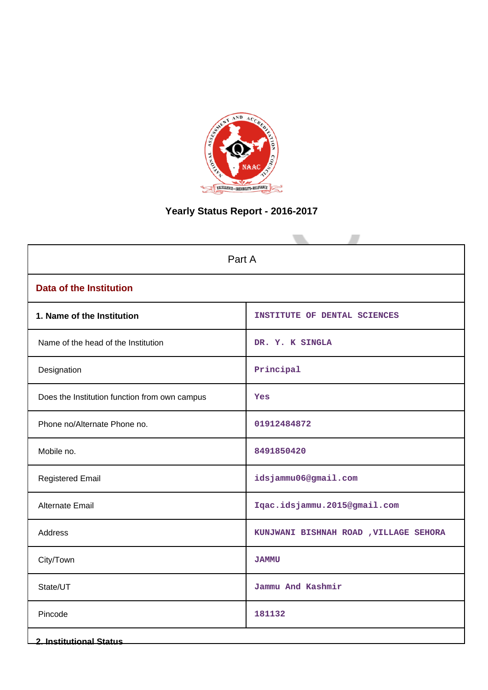

# **Yearly Status Report - 2016-2017**

| Part A                                        |                                        |  |  |
|-----------------------------------------------|----------------------------------------|--|--|
| <b>Data of the Institution</b>                |                                        |  |  |
| 1. Name of the Institution                    | INSTITUTE OF DENTAL SCIENCES           |  |  |
| Name of the head of the Institution           | DR. Y. K SINGLA                        |  |  |
| Designation                                   | Principal                              |  |  |
| Does the Institution function from own campus | Yes                                    |  |  |
| Phone no/Alternate Phone no.                  | 01912484872                            |  |  |
| Mobile no.                                    | 8491850420                             |  |  |
| <b>Registered Email</b>                       | idsjammu06@gmail.com                   |  |  |
| Alternate Email                               | Iqac.idsjammu.2015@gmail.com           |  |  |
| Address                                       | KUNJWANI BISHNAH ROAD , VILLAGE SEHORA |  |  |
| City/Town                                     | <b>JAMMU</b>                           |  |  |
| State/UT                                      | Jammu And Kashmir                      |  |  |
| Pincode                                       | 181132                                 |  |  |
| 2. Institutional Status                       |                                        |  |  |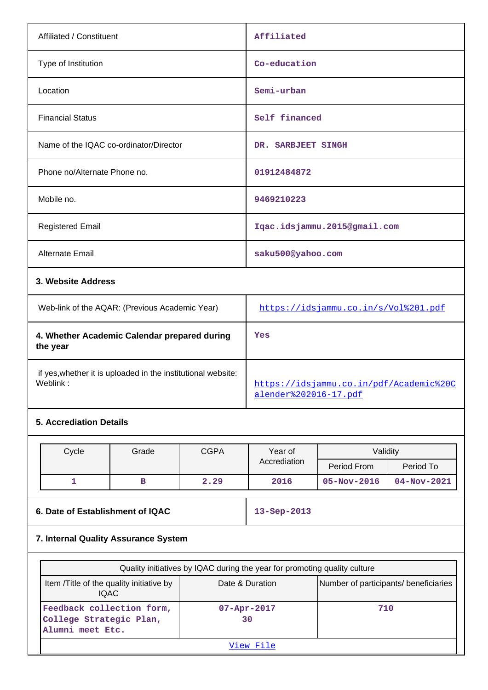| Affiliated / Constituent                       | Affiliated                                |
|------------------------------------------------|-------------------------------------------|
| Type of Institution                            | Co-education                              |
| Location                                       | Semi-urban                                |
| <b>Financial Status</b>                        | Self financed                             |
| Name of the IQAC co-ordinator/Director         | DR. SARBJEET SINGH                        |
| Phone no/Alternate Phone no.                   | 01912484872                               |
| Mobile no.                                     | 9469210223                                |
| <b>Registered Email</b>                        | Iqac.idsjammu.2015@gmail.com              |
| Alternate Email                                | saku500@yahoo.com                         |
| 3. Website Address                             |                                           |
| Web-link of the AOAR: (Previous Academic Year) | $h$ +tps://idsiammu.co.in/s/Vol $201$ pdf |

| Web-link of the AQAR: (Previous Academic Year)                           | https://idsjammu.co.in/s/Vol%201.pdf                             |
|--------------------------------------------------------------------------|------------------------------------------------------------------|
| 4. Whether Academic Calendar prepared during<br>the year                 | Yes                                                              |
| if yes, whether it is uploaded in the institutional website:<br>Weblink: | https://idsjammu.co.in/pdf/Academic%20C<br>alender%202016-17.pdf |

# **5. Accrediation Details**

| Cycle | Grade | <b>CGPA</b> | Year of      | Validity          |                   |
|-------|-------|-------------|--------------|-------------------|-------------------|
|       |       |             | Accrediation | Period From       | Period To         |
|       |       | 2.29        | 2016         | $05 - Nov - 2016$ | $04 - Nov - 2021$ |

# **6. Date of Establishment of IQAC 13-Sep-2013**

# **7. Internal Quality Assurance System**

| Quality initiatives by IQAC during the year for promoting quality culture |                          |                                       |  |  |
|---------------------------------------------------------------------------|--------------------------|---------------------------------------|--|--|
| Item / Title of the quality initiative by<br>IOAC.                        | Date & Duration          | Number of participants/ beneficiaries |  |  |
| Feedback collection form,<br>College Strategic Plan,<br>Alumni meet Etc.  | $07 - Appr - 2017$<br>30 | 710                                   |  |  |
| View File                                                                 |                          |                                       |  |  |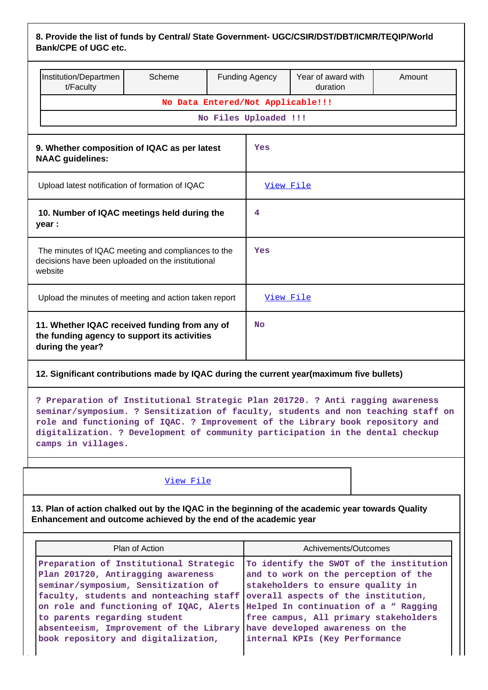| 8. Provide the list of funds by Central/ State Government- UGC/CSIR/DST/DBT/ICMR/TEQIP/World |  |
|----------------------------------------------------------------------------------------------|--|
| <b>Bank/CPE of UGC etc.</b>                                                                  |  |

|                                                                                                                    | Institution/Departmen<br>t/Faculty                                                                                | Scheme                            |           | <b>Funding Agency</b> | Year of award with<br>duration | Amount |
|--------------------------------------------------------------------------------------------------------------------|-------------------------------------------------------------------------------------------------------------------|-----------------------------------|-----------|-----------------------|--------------------------------|--------|
|                                                                                                                    |                                                                                                                   | No Data Entered/Not Applicable!!! |           |                       |                                |        |
|                                                                                                                    | No Files Uploaded !!!                                                                                             |                                   |           |                       |                                |        |
|                                                                                                                    |                                                                                                                   |                                   |           |                       |                                |        |
| 9. Whether composition of IQAC as per latest<br>Yes<br><b>NAAC</b> guidelines:                                     |                                                                                                                   |                                   |           |                       |                                |        |
|                                                                                                                    | Upload latest notification of formation of IQAC                                                                   |                                   |           | View File             |                                |        |
|                                                                                                                    | 10. Number of IQAC meetings held during the<br>year :                                                             |                                   |           | 4                     |                                |        |
| The minutes of IQAC meeting and compliances to the<br>decisions have been uploaded on the institutional<br>website |                                                                                                                   | Yes                               |           |                       |                                |        |
|                                                                                                                    | Upload the minutes of meeting and action taken report                                                             |                                   | View File |                       |                                |        |
|                                                                                                                    | 11. Whether IQAC received funding from any of<br>the funding agency to support its activities<br>during the year? |                                   | <b>No</b> |                       |                                |        |

# **12. Significant contributions made by IQAC during the current year(maximum five bullets)**

**? Preparation of Institutional Strategic Plan 201720. ? Anti ragging awareness seminar/symposium. ? Sensitization of faculty, students and non teaching staff on role and functioning of IQAC. ? Improvement of the Library book repository and digitalization. ? Development of community participation in the dental checkup camps in villages.**

#### [View File](https://assessmentonline.naac.gov.in/public/Postacc/Contribution/5449_Contribution.xlsx)

**13. Plan of action chalked out by the IQAC in the beginning of the academic year towards Quality Enhancement and outcome achieved by the end of the academic year**

| Plan of Action                                                                                                                                                                                                                                                                                                                                                                                                                        | Achivements/Outcomes                                                                                                                                                                            |
|---------------------------------------------------------------------------------------------------------------------------------------------------------------------------------------------------------------------------------------------------------------------------------------------------------------------------------------------------------------------------------------------------------------------------------------|-------------------------------------------------------------------------------------------------------------------------------------------------------------------------------------------------|
| Preparation of Institutional Strategic<br>Plan 201720, Antiragging awareness<br>seminar/symposium, Sensitization of<br>faculty, students and nonteaching staff overall aspects of the institution,<br>on role and functioning of IQAC, Alerts Helped In continuation of a " Ragging<br>to parents regarding student<br>absenteeism, Improvement of the Library have developed awareness on the<br>book repository and digitalization, | To identify the SWOT of the institution<br>and to work on the perception of the<br>stakeholders to ensure quality in<br>free campus, All primary stakeholders<br>internal KPIs (Key Performance |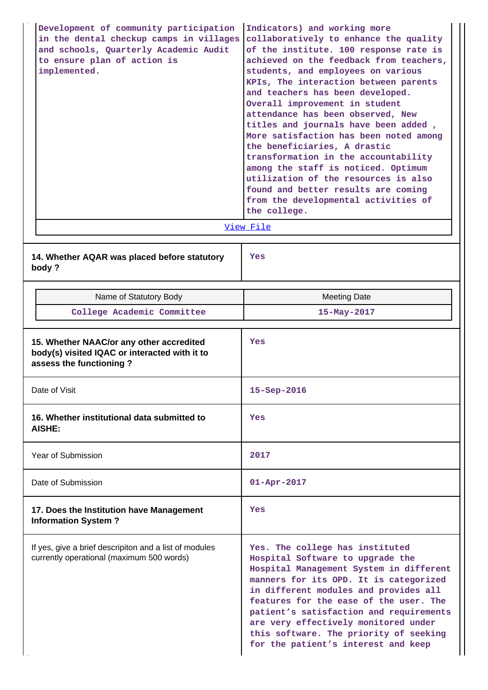| Development of community participation<br>in the dental checkup camps in villages<br>and schools, Quarterly Academic Audit<br>to ensure plan of action is<br>implemented. | Indicators) and working more<br>collaboratively to enhance the quality<br>of the institute. 100 response rate is<br>achieved on the feedback from teachers,<br>students, and employees on various<br>KPIs, The interaction between parents<br>and teachers has been developed.<br>Overall improvement in student<br>attendance has been observed, New<br>titles and journals have been added,<br>More satisfaction has been noted among<br>the beneficiaries, A drastic<br>transformation in the accountability<br>among the staff is noticed. Optimum<br>utilization of the resources is also<br>found and better results are coming<br>from the developmental activities of<br>the college. |
|---------------------------------------------------------------------------------------------------------------------------------------------------------------------------|-----------------------------------------------------------------------------------------------------------------------------------------------------------------------------------------------------------------------------------------------------------------------------------------------------------------------------------------------------------------------------------------------------------------------------------------------------------------------------------------------------------------------------------------------------------------------------------------------------------------------------------------------------------------------------------------------|
|                                                                                                                                                                           | View File                                                                                                                                                                                                                                                                                                                                                                                                                                                                                                                                                                                                                                                                                     |
| 14. Whether AQAR was placed before statutory<br>body?                                                                                                                     | Yes                                                                                                                                                                                                                                                                                                                                                                                                                                                                                                                                                                                                                                                                                           |
| Name of Statutory Body                                                                                                                                                    | <b>Meeting Date</b>                                                                                                                                                                                                                                                                                                                                                                                                                                                                                                                                                                                                                                                                           |
| College Academic Committee                                                                                                                                                | 15-May-2017                                                                                                                                                                                                                                                                                                                                                                                                                                                                                                                                                                                                                                                                                   |
| 15. Whether NAAC/or any other accredited<br>body(s) visited IQAC or interacted with it to                                                                                 | Yes                                                                                                                                                                                                                                                                                                                                                                                                                                                                                                                                                                                                                                                                                           |
| assess the functioning?                                                                                                                                                   |                                                                                                                                                                                                                                                                                                                                                                                                                                                                                                                                                                                                                                                                                               |
| Date of Visit                                                                                                                                                             | 15-Sep-2016                                                                                                                                                                                                                                                                                                                                                                                                                                                                                                                                                                                                                                                                                   |
| 16. Whether institutional data submitted to<br>AISHE:                                                                                                                     | Yes                                                                                                                                                                                                                                                                                                                                                                                                                                                                                                                                                                                                                                                                                           |
| Year of Submission                                                                                                                                                        | 2017                                                                                                                                                                                                                                                                                                                                                                                                                                                                                                                                                                                                                                                                                          |
| Date of Submission                                                                                                                                                        | $01 - Apr - 2017$                                                                                                                                                                                                                                                                                                                                                                                                                                                                                                                                                                                                                                                                             |
| 17. Does the Institution have Management<br><b>Information System?</b>                                                                                                    | Yes                                                                                                                                                                                                                                                                                                                                                                                                                                                                                                                                                                                                                                                                                           |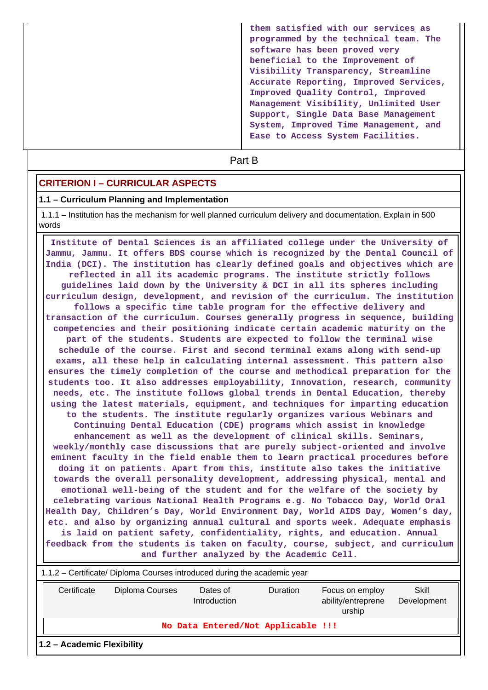**them satisfied with our services as programmed by the technical team. The software has been proved very beneficial to the Improvement of Visibility Transparency, Streamline Accurate Reporting, Improved Services, Improved Quality Control, Improved Management Visibility, Unlimited User Support, Single Data Base Management System, Improved Time Management, and Ease to Access System Facilities.**

# **Part B**

### **CRITERION I – CURRICULAR ASPECTS**

#### **1.1 – Curriculum Planning and Implementation**

 1.1.1 – Institution has the mechanism for well planned curriculum delivery and documentation. Explain in 500 words

 **Institute of Dental Sciences is an affiliated college under the University of Jammu, Jammu. It offers BDS course which is recognized by the Dental Council of India (DCI). The institution has clearly defined goals and objectives which are reflected in all its academic programs. The institute strictly follows guidelines laid down by the University & DCI in all its spheres including curriculum design, development, and revision of the curriculum. The institution follows a specific time table program for the effective delivery and transaction of the curriculum. Courses generally progress in sequence, building competencies and their positioning indicate certain academic maturity on the part of the students. Students are expected to follow the terminal wise schedule of the course. First and second terminal exams along with send-up exams, all these help in calculating internal assessment. This pattern also ensures the timely completion of the course and methodical preparation for the students too. It also addresses employability, Innovation, research, community needs, etc. The institute follows global trends in Dental Education, thereby using the latest materials, equipment, and techniques for imparting education to the students. The institute regularly organizes various Webinars and Continuing Dental Education (CDE) programs which assist in knowledge enhancement as well as the development of clinical skills. Seminars, weekly/monthly case discussions that are purely subject-oriented and involve eminent faculty in the field enable them to learn practical procedures before doing it on patients. Apart from this, institute also takes the initiative towards the overall personality development, addressing physical, mental and emotional well-being of the student and for the welfare of the society by celebrating various National Health Programs e.g. No Tobacco Day, World Oral Health Day, Children's Day, World Environment Day, World AIDS Day, Women's day, etc. and also by organizing annual cultural and sports week. Adequate emphasis is laid on patient safety, confidentiality, rights, and education. Annual feedback from the students is taken on faculty, course, subject, and curriculum and further analyzed by the Academic Cell.**

| 1.1.2 – Certificate/ Diploma Courses introduced during the academic year |                 |                          |                                    |                                                 |                      |
|--------------------------------------------------------------------------|-----------------|--------------------------|------------------------------------|-------------------------------------------------|----------------------|
| Certificate                                                              | Diploma Courses | Dates of<br>Introduction | <b>Duration</b>                    | Focus on employ<br>ability/entreprene<br>urship | Skill<br>Development |
|                                                                          |                 |                          | No Data Entered/Not Applicable !!! |                                                 |                      |
| 1.2 - Academic Flexibility                                               |                 |                          |                                    |                                                 |                      |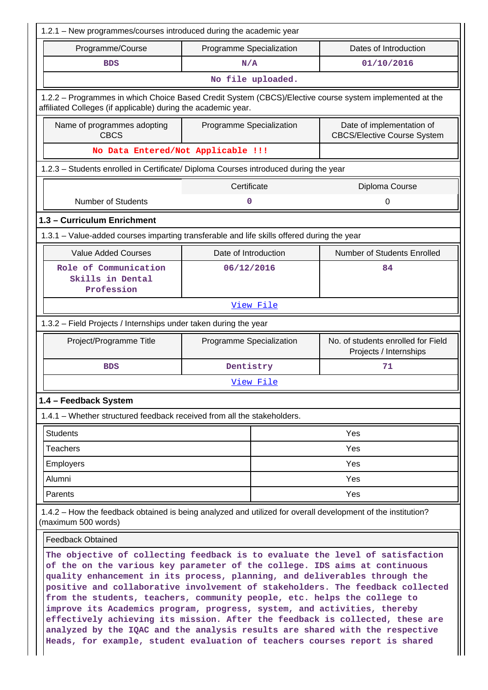| 1.2.1 - New programmes/courses introduced during the academic year                                                                                                                                                                                                                                                                                                                                                                                                                                                                                                                                                                                                                                                                  |                                                   |           |                                                                 |  |  |
|-------------------------------------------------------------------------------------------------------------------------------------------------------------------------------------------------------------------------------------------------------------------------------------------------------------------------------------------------------------------------------------------------------------------------------------------------------------------------------------------------------------------------------------------------------------------------------------------------------------------------------------------------------------------------------------------------------------------------------------|---------------------------------------------------|-----------|-----------------------------------------------------------------|--|--|
| Programme/Course                                                                                                                                                                                                                                                                                                                                                                                                                                                                                                                                                                                                                                                                                                                    | Programme Specialization<br>Dates of Introduction |           |                                                                 |  |  |
| <b>BDS</b>                                                                                                                                                                                                                                                                                                                                                                                                                                                                                                                                                                                                                                                                                                                          | N/A                                               |           | 01/10/2016                                                      |  |  |
| No file uploaded.                                                                                                                                                                                                                                                                                                                                                                                                                                                                                                                                                                                                                                                                                                                   |                                                   |           |                                                                 |  |  |
| 1.2.2 - Programmes in which Choice Based Credit System (CBCS)/Elective course system implemented at the<br>affiliated Colleges (if applicable) during the academic year.                                                                                                                                                                                                                                                                                                                                                                                                                                                                                                                                                            |                                                   |           |                                                                 |  |  |
| Name of programmes adopting<br><b>CBCS</b>                                                                                                                                                                                                                                                                                                                                                                                                                                                                                                                                                                                                                                                                                          | Programme Specialization                          |           | Date of implementation of<br><b>CBCS/Elective Course System</b> |  |  |
| No Data Entered/Not Applicable !!!                                                                                                                                                                                                                                                                                                                                                                                                                                                                                                                                                                                                                                                                                                  |                                                   |           |                                                                 |  |  |
| 1.2.3 - Students enrolled in Certificate/ Diploma Courses introduced during the year                                                                                                                                                                                                                                                                                                                                                                                                                                                                                                                                                                                                                                                |                                                   |           |                                                                 |  |  |
|                                                                                                                                                                                                                                                                                                                                                                                                                                                                                                                                                                                                                                                                                                                                     | Certificate                                       |           | Diploma Course                                                  |  |  |
| <b>Number of Students</b>                                                                                                                                                                                                                                                                                                                                                                                                                                                                                                                                                                                                                                                                                                           | 0                                                 |           | 0                                                               |  |  |
| 1.3 - Curriculum Enrichment                                                                                                                                                                                                                                                                                                                                                                                                                                                                                                                                                                                                                                                                                                         |                                                   |           |                                                                 |  |  |
| 1.3.1 – Value-added courses imparting transferable and life skills offered during the year                                                                                                                                                                                                                                                                                                                                                                                                                                                                                                                                                                                                                                          |                                                   |           |                                                                 |  |  |
| <b>Value Added Courses</b>                                                                                                                                                                                                                                                                                                                                                                                                                                                                                                                                                                                                                                                                                                          | Date of Introduction                              |           | Number of Students Enrolled                                     |  |  |
| Role of Communication<br>Skills in Dental<br>Profession                                                                                                                                                                                                                                                                                                                                                                                                                                                                                                                                                                                                                                                                             | 06/12/2016                                        |           | 84                                                              |  |  |
| View File                                                                                                                                                                                                                                                                                                                                                                                                                                                                                                                                                                                                                                                                                                                           |                                                   |           |                                                                 |  |  |
| 1.3.2 - Field Projects / Internships under taken during the year                                                                                                                                                                                                                                                                                                                                                                                                                                                                                                                                                                                                                                                                    |                                                   |           |                                                                 |  |  |
| Project/Programme Title                                                                                                                                                                                                                                                                                                                                                                                                                                                                                                                                                                                                                                                                                                             | Programme Specialization                          |           | No. of students enrolled for Field<br>Projects / Internships    |  |  |
| <b>BDS</b>                                                                                                                                                                                                                                                                                                                                                                                                                                                                                                                                                                                                                                                                                                                          | Dentistry                                         |           | 71                                                              |  |  |
|                                                                                                                                                                                                                                                                                                                                                                                                                                                                                                                                                                                                                                                                                                                                     |                                                   | View File |                                                                 |  |  |
| 1.4 - Feedback System                                                                                                                                                                                                                                                                                                                                                                                                                                                                                                                                                                                                                                                                                                               |                                                   |           |                                                                 |  |  |
| 1.4.1 – Whether structured feedback received from all the stakeholders.                                                                                                                                                                                                                                                                                                                                                                                                                                                                                                                                                                                                                                                             |                                                   |           |                                                                 |  |  |
| <b>Students</b>                                                                                                                                                                                                                                                                                                                                                                                                                                                                                                                                                                                                                                                                                                                     |                                                   |           | Yes                                                             |  |  |
| <b>Teachers</b>                                                                                                                                                                                                                                                                                                                                                                                                                                                                                                                                                                                                                                                                                                                     |                                                   |           | Yes                                                             |  |  |
| Employers                                                                                                                                                                                                                                                                                                                                                                                                                                                                                                                                                                                                                                                                                                                           |                                                   |           | Yes                                                             |  |  |
| Alumni                                                                                                                                                                                                                                                                                                                                                                                                                                                                                                                                                                                                                                                                                                                              |                                                   |           | Yes                                                             |  |  |
| Parents                                                                                                                                                                                                                                                                                                                                                                                                                                                                                                                                                                                                                                                                                                                             |                                                   |           | <b>Yes</b>                                                      |  |  |
| 1.4.2 – How the feedback obtained is being analyzed and utilized for overall development of the institution?<br>(maximum 500 words)                                                                                                                                                                                                                                                                                                                                                                                                                                                                                                                                                                                                 |                                                   |           |                                                                 |  |  |
| <b>Feedback Obtained</b>                                                                                                                                                                                                                                                                                                                                                                                                                                                                                                                                                                                                                                                                                                            |                                                   |           |                                                                 |  |  |
| The objective of collecting feedback is to evaluate the level of satisfaction<br>of the on the various key parameter of the college. IDS aims at continuous<br>quality enhancement in its process, planning, and deliverables through the<br>positive and collaborative involvement of stakeholders. The feedback collected<br>from the students, teachers, community people, etc. helps the college to<br>improve its Academics program, progress, system, and activities, thereby<br>effectively achieving its mission. After the feedback is collected, these are<br>analyzed by the IQAC and the analysis results are shared with the respective<br>Heads, for example, student evaluation of teachers courses report is shared |                                                   |           |                                                                 |  |  |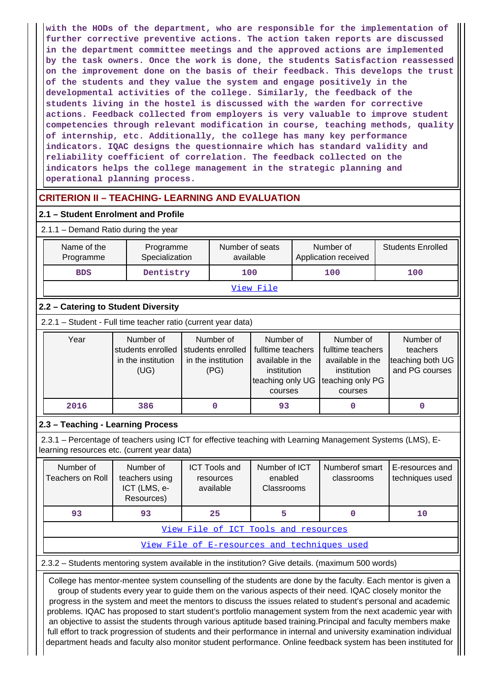**with the HODs of the department, who are responsible for the implementation of further corrective preventive actions. The action taken reports are discussed in the department committee meetings and the approved actions are implemented by the task owners. Once the work is done, the students Satisfaction reassessed on the improvement done on the basis of their feedback. This develops the trust of the students and they value the system and engage positively in the developmental activities of the college. Similarly, the feedback of the students living in the hostel is discussed with the warden for corrective actions. Feedback collected from employers is very valuable to improve student competencies through relevant modification in course, teaching methods, quality of internship, etc. Additionally, the college has many key performance indicators. IQAC designs the questionnaire which has standard validity and reliability coefficient of correlation. The feedback collected on the indicators helps the college management in the strategic planning and operational planning process.**

# **CRITERION II – TEACHING- LEARNING AND EVALUATION**

## **2.1 – Student Enrolment and Profile**

#### 2.1.1 – Demand Ratio during the year

| Name of the<br>Programme | Programme<br>Specialization | Number of seats<br>available | Number of<br>Application received | <b>Students Enrolled</b> |
|--------------------------|-----------------------------|------------------------------|-----------------------------------|--------------------------|
| <b>BDS</b>               | Dentistry                   | 100                          | 100                               | 100                      |
|                          |                             | View File                    |                                   |                          |

# **2.2 – Catering to Student Diversity**

2.2.1 – Student - Full time teacher ratio (current year data)

| Year | Number of          | Number of          | Number of                          | Number of         | Number of        |
|------|--------------------|--------------------|------------------------------------|-------------------|------------------|
|      | students enrolled  | students enrolled  | fulltime teachers                  | fulltime teachers | teachers         |
|      | in the institution | in the institution | available in the                   | available in the  | teaching both UG |
|      | (UG)               | (PG)               | institution                        | institution       | and PG courses   |
|      |                    |                    | teaching only UG Iteaching only PG |                   |                  |
|      |                    |                    | courses                            | courses           |                  |
| 2016 | 386                |                    | 93                                 |                   |                  |

# **2.3 – Teaching - Learning Process**

 2.3.1 – Percentage of teachers using ICT for effective teaching with Learning Management Systems (LMS), Elearning resources etc. (current year data)

| Number of<br>Teachers on Roll        | Number of<br>teachers using<br>ICT (LMS, e-<br>Resources) | <b>ICT Tools and</b><br>resources<br>available | Number of ICT<br>enabled<br>Classrooms | Numberof smart<br>classrooms | E-resources and<br>techniques used |  |  |  |  |
|--------------------------------------|-----------------------------------------------------------|------------------------------------------------|----------------------------------------|------------------------------|------------------------------------|--|--|--|--|
| 93                                   | 93                                                        | 25                                             |                                        |                              | 10                                 |  |  |  |  |
| View File of ICT Tools and resources |                                                           |                                                |                                        |                              |                                    |  |  |  |  |
|                                      |                                                           |                                                |                                        |                              |                                    |  |  |  |  |

 $E$ -resources and techniques

### 2.3.2 – Students mentoring system available in the institution? Give details. (maximum 500 words)

 College has mentor-mentee system counselling of the students are done by the faculty. Each mentor is given a group of students every year to guide them on the various aspects of their need. IQAC closely monitor the progress in the system and meet the mentors to discuss the issues related to student's personal and academic problems. IQAC has proposed to start student's portfolio management system from the next academic year with an objective to assist the students through various aptitude based training.Principal and faculty members make full effort to track progression of students and their performance in internal and university examination individual department heads and faculty also monitor student performance. Online feedback system has been instituted for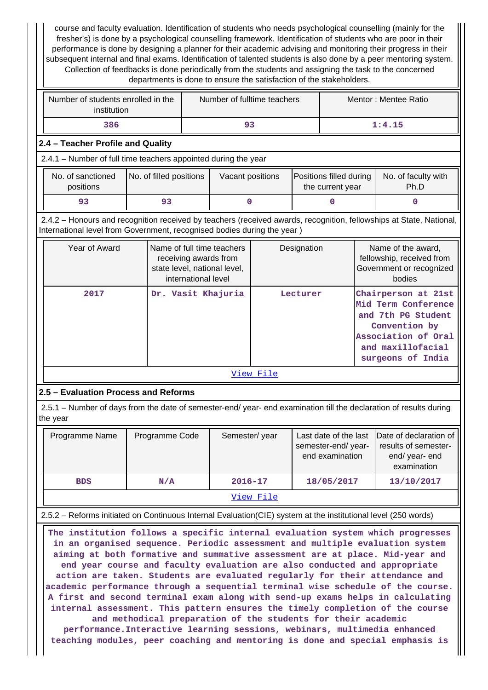course and faculty evaluation. Identification of students who needs psychological counselling (mainly for the fresher's) is done by a psychological counselling framework. Identification of students who are poor in their performance is done by designing a planner for their academic advising and monitoring their progress in their subsequent internal and final exams. Identification of talented students is also done by a peer mentoring system. Collection of feedbacks is done periodically from the students and assigning the task to the concerned departments is done to ensure the satisfaction of the stakeholders.

| Number of students enrolled in the<br>institution | Number of fulltime teachers | Mentor: Mentee Ratio |
|---------------------------------------------------|-----------------------------|----------------------|
| 386                                               | 93                          | 1:4.15               |

# **2.4 – Teacher Profile and Quality**

2.4.1 – Number of full time teachers appointed during the year

| No. of sanctioned<br>positions | No. of filled positions | Vacant positions | <b>Positions filled during  </b><br>the current year | No. of faculty with<br>Ph.D |
|--------------------------------|-------------------------|------------------|------------------------------------------------------|-----------------------------|
| 93                             |                         |                  |                                                      |                             |

 2.4.2 – Honours and recognition received by teachers (received awards, recognition, fellowships at State, National, International level from Government, recognised bodies during the year )

| Year of Award | Name of full time teachers<br>receiving awards from<br>state level, national level,<br>international level | Designation | Name of the award,<br>fellowship, received from<br>Government or recognized<br>bodies                                                              |  |  |  |  |  |
|---------------|------------------------------------------------------------------------------------------------------------|-------------|----------------------------------------------------------------------------------------------------------------------------------------------------|--|--|--|--|--|
| 2017          | Dr. Vasit Khajuria                                                                                         | Lecturer    | Chairperson at 21st<br>Mid Term Conference<br>and 7th PG Student<br>Convention by<br>Association of Oral<br>and maxillofacial<br>surgeons of India |  |  |  |  |  |
| View File     |                                                                                                            |             |                                                                                                                                                    |  |  |  |  |  |

**2.5 – Evaluation Process and Reforms**

 2.5.1 – Number of days from the date of semester-end/ year- end examination till the declaration of results during the year

|           | Programme Name | Programme Code | Semester/year | semester-end/year-<br>end examination | Last date of the last Date of declaration of<br>results of semester-<br>end/year-end<br>examination |  |  |  |
|-----------|----------------|----------------|---------------|---------------------------------------|-----------------------------------------------------------------------------------------------------|--|--|--|
|           | <b>BDS</b>     | N/A            | $2016 - 17$   | 18/05/2017                            | 13/10/2017                                                                                          |  |  |  |
| View File |                |                |               |                                       |                                                                                                     |  |  |  |

# 2.5.2 – Reforms initiated on Continuous Internal Evaluation(CIE) system at the institutional level (250 words)

 **The institution follows a specific internal evaluation system which progresses in an organised sequence. Periodic assessment and multiple evaluation system aiming at both formative and summative assessment are at place. Mid-year and end year course and faculty evaluation are also conducted and appropriate action are taken. Students are evaluated regularly for their attendance and academic performance through a sequential terminal wise schedule of the course. A first and second terminal exam along with send-up exams helps in calculating internal assessment. This pattern ensures the timely completion of the course and methodical preparation of the students for their academic**

**performance.Interactive learning sessions, webinars, multimedia enhanced teaching modules, peer coaching and mentoring is done and special emphasis is**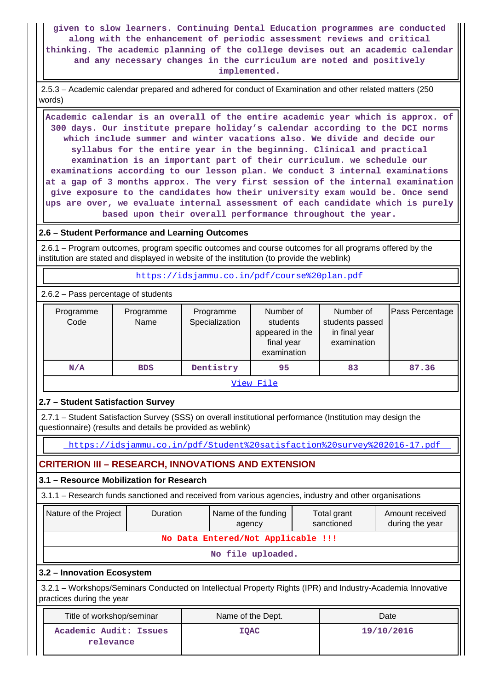**given to slow learners. Continuing Dental Education programmes are conducted along with the enhancement of periodic assessment reviews and critical thinking. The academic planning of the college devises out an academic calendar and any necessary changes in the curriculum are noted and positively implemented.**

 2.5.3 – Academic calendar prepared and adhered for conduct of Examination and other related matters (250 words)

 **Academic calendar is an overall of the entire academic year which is approx. of 300 days. Our institute prepare holiday's calendar according to the DCI norms which include summer and winter vacations also. We divide and decide our syllabus for the entire year in the beginning. Clinical and practical examination is an important part of their curriculum. we schedule our examinations according to our lesson plan. We conduct 3 internal examinations at a gap of 3 months approx. The very first session of the internal examination give exposure to the candidates how their university exam would be. Once send ups are over, we evaluate internal assessment of each candidate which is purely based upon their overall performance throughout the year.**

#### **2.6 – Student Performance and Learning Outcomes**

 2.6.1 – Program outcomes, program specific outcomes and course outcomes for all programs offered by the institution are stated and displayed in website of the institution (to provide the weblink)

<https://idsjammu.co.in/pdf/course%20plan.pdf>

2.6.2 – Pass percentage of students

| Programme<br>Code | Programme<br>Name | Programme<br>Specialization | Number of<br>students<br>appeared in the<br>final year<br>examination | Number of<br>students passed<br>in final year<br>examination | Pass Percentage |  |  |  |
|-------------------|-------------------|-----------------------------|-----------------------------------------------------------------------|--------------------------------------------------------------|-----------------|--|--|--|
| N/A               | <b>BDS</b>        | Dentistry                   | 95                                                                    | 83                                                           | 87.36           |  |  |  |
| View File         |                   |                             |                                                                       |                                                              |                 |  |  |  |

### **2.7 – Student Satisfaction Survey**

 2.7.1 – Student Satisfaction Survey (SSS) on overall institutional performance (Institution may design the questionnaire) (results and details be provided as weblink)

<https://idsjammu.co.in/pdf/Student%20satisfaction%20survey%202016-17.pdf>

# **CRITERION III – RESEARCH, INNOVATIONS AND EXTENSION**

### **3.1 – Resource Mobilization for Research**

3.1.1 – Research funds sanctioned and received from various agencies, industry and other organisations

| Nature of the Project                                                                                                                    | <b>Duration</b> | Name of the funding<br>agency | Total grant<br>sanctioned | Amount received<br>during the year |  |  |  |  |  |
|------------------------------------------------------------------------------------------------------------------------------------------|-----------------|-------------------------------|---------------------------|------------------------------------|--|--|--|--|--|
| No Data Entered/Not Applicable !!!                                                                                                       |                 |                               |                           |                                    |  |  |  |  |  |
| No file uploaded.                                                                                                                        |                 |                               |                           |                                    |  |  |  |  |  |
| 3.2 - Innovation Ecosystem                                                                                                               |                 |                               |                           |                                    |  |  |  |  |  |
| 3.2.1 – Workshops/Seminars Conducted on Intellectual Property Rights (IPR) and Industry-Academia Innovative<br>practices during the year |                 |                               |                           |                                    |  |  |  |  |  |
| Title of workshop/seminar<br>Name of the Dept.<br>Date                                                                                   |                 |                               |                           |                                    |  |  |  |  |  |
| Academic Audit: Issues                                                                                                                   |                 | <b>IOAC</b>                   |                           | 19/10/2016                         |  |  |  |  |  |

**relevance**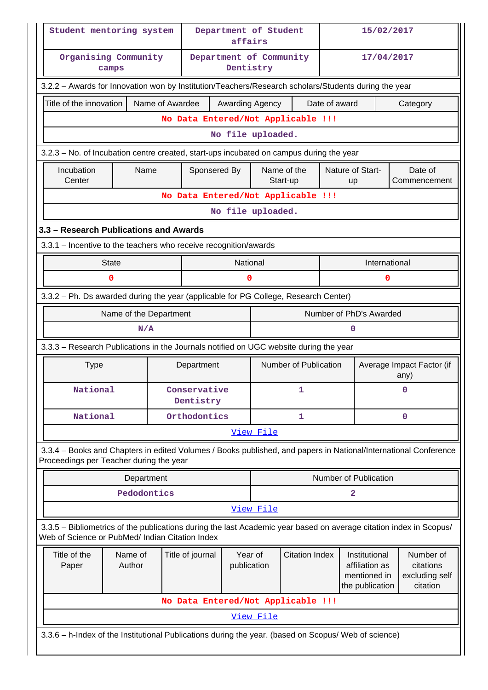| Student mentoring system                                                                                                                                              |                                                                                       |                 |                                    | Department of Student<br>affairs |                       |                       |                                                                    | 15/02/2017                        |                                                      |              |
|-----------------------------------------------------------------------------------------------------------------------------------------------------------------------|---------------------------------------------------------------------------------------|-----------------|------------------------------------|----------------------------------|-----------------------|-----------------------|--------------------------------------------------------------------|-----------------------------------|------------------------------------------------------|--------------|
|                                                                                                                                                                       | Organising Community<br>camps                                                         |                 | Department of Community            | Dentistry                        |                       |                       |                                                                    | 17/04/2017                        |                                                      |              |
| 3.2.2 - Awards for Innovation won by Institution/Teachers/Research scholars/Students during the year                                                                  |                                                                                       |                 |                                    |                                  |                       |                       |                                                                    |                                   |                                                      |              |
| Title of the innovation                                                                                                                                               |                                                                                       | Name of Awardee |                                    | Awarding Agency                  |                       |                       | Date of award                                                      |                                   |                                                      | Category     |
|                                                                                                                                                                       |                                                                                       |                 | No Data Entered/Not Applicable !!! |                                  |                       |                       |                                                                    |                                   |                                                      |              |
|                                                                                                                                                                       | No file uploaded.                                                                     |                 |                                    |                                  |                       |                       |                                                                    |                                   |                                                      |              |
| 3.2.3 - No. of Incubation centre created, start-ups incubated on campus during the year                                                                               |                                                                                       |                 |                                    |                                  |                       |                       |                                                                    |                                   |                                                      |              |
| Incubation                                                                                                                                                            | Name                                                                                  |                 | Sponsered By                       |                                  |                       | Name of the           |                                                                    | Nature of Start-                  |                                                      | Date of      |
| Center                                                                                                                                                                |                                                                                       |                 |                                    |                                  |                       | Start-up              |                                                                    | up                                |                                                      | Commencement |
|                                                                                                                                                                       | No Data Entered/Not Applicable !!!<br>No file uploaded.                               |                 |                                    |                                  |                       |                       |                                                                    |                                   |                                                      |              |
|                                                                                                                                                                       |                                                                                       |                 |                                    |                                  |                       |                       |                                                                    |                                   |                                                      |              |
| 3.3 - Research Publications and Awards                                                                                                                                |                                                                                       |                 |                                    |                                  |                       |                       |                                                                    |                                   |                                                      |              |
| 3.3.1 - Incentive to the teachers who receive recognition/awards                                                                                                      |                                                                                       |                 |                                    |                                  |                       |                       |                                                                    |                                   |                                                      |              |
|                                                                                                                                                                       | <b>State</b><br>0                                                                     |                 |                                    | National<br>0                    |                       |                       |                                                                    | International                     | 0                                                    |              |
|                                                                                                                                                                       |                                                                                       |                 |                                    |                                  |                       |                       |                                                                    |                                   |                                                      |              |
| 3.3.2 - Ph. Ds awarded during the year (applicable for PG College, Research Center)                                                                                   |                                                                                       |                 |                                    |                                  |                       |                       |                                                                    |                                   |                                                      |              |
|                                                                                                                                                                       | Name of the Department                                                                |                 |                                    |                                  |                       |                       |                                                                    | Number of PhD's Awarded           |                                                      |              |
|                                                                                                                                                                       | N/A                                                                                   |                 |                                    |                                  |                       |                       |                                                                    | O                                 |                                                      |              |
|                                                                                                                                                                       | 3.3.3 - Research Publications in the Journals notified on UGC website during the year |                 |                                    |                                  |                       |                       |                                                                    |                                   |                                                      |              |
| <b>Type</b>                                                                                                                                                           |                                                                                       |                 | Department                         |                                  |                       | Number of Publication |                                                                    | Average Impact Factor (if<br>any) |                                                      |              |
| National                                                                                                                                                              |                                                                                       |                 | Conservative<br>Dentistry          |                                  |                       | ı                     |                                                                    | 0                                 |                                                      |              |
| National                                                                                                                                                              |                                                                                       |                 | Orthodontics                       |                                  |                       | $\Omega$<br>1         |                                                                    |                                   |                                                      |              |
|                                                                                                                                                                       |                                                                                       |                 |                                    |                                  | View File             |                       |                                                                    |                                   |                                                      |              |
| 3.3.4 - Books and Chapters in edited Volumes / Books published, and papers in National/International Conference<br>Proceedings per Teacher during the year            |                                                                                       |                 |                                    |                                  |                       |                       |                                                                    |                                   |                                                      |              |
|                                                                                                                                                                       | Department                                                                            |                 |                                    |                                  |                       |                       |                                                                    | <b>Number of Publication</b>      |                                                      |              |
|                                                                                                                                                                       | Pedodontics                                                                           |                 |                                    |                                  |                       |                       |                                                                    | 2                                 |                                                      |              |
|                                                                                                                                                                       |                                                                                       |                 |                                    |                                  | View File             |                       |                                                                    |                                   |                                                      |              |
| 3.3.5 - Bibliometrics of the publications during the last Academic year based on average citation index in Scopus/<br>Web of Science or PubMed/ Indian Citation Index |                                                                                       |                 |                                    |                                  |                       |                       |                                                                    |                                   |                                                      |              |
| Title of the<br>Paper                                                                                                                                                 | Year of<br>Name of<br>Title of journal<br>Author<br>publication                       |                 |                                    |                                  | <b>Citation Index</b> |                       | Institutional<br>affiliation as<br>mentioned in<br>the publication |                                   | Number of<br>citations<br>excluding self<br>citation |              |
|                                                                                                                                                                       |                                                                                       |                 | No Data Entered/Not Applicable !!! |                                  |                       |                       |                                                                    |                                   |                                                      |              |
|                                                                                                                                                                       |                                                                                       |                 |                                    |                                  | View File             |                       |                                                                    |                                   |                                                      |              |
| 3.3.6 - h-Index of the Institutional Publications during the year. (based on Scopus/ Web of science)                                                                  |                                                                                       |                 |                                    |                                  |                       |                       |                                                                    |                                   |                                                      |              |
|                                                                                                                                                                       |                                                                                       |                 |                                    |                                  |                       |                       |                                                                    |                                   |                                                      |              |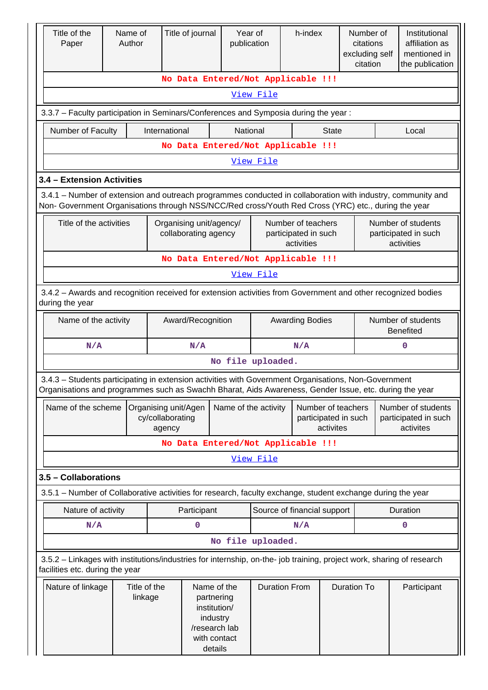| Title of the<br>Paper                                                                                                                                    |  | Name of<br>Author       |                  | Title of journal              | Year of<br>publication |                      | h-index                            |                      | Number of<br>citations |  | Institutional<br>affiliation as                                                                                                                                                                                                                                                                                                          |  |  |
|----------------------------------------------------------------------------------------------------------------------------------------------------------|--|-------------------------|------------------|-------------------------------|------------------------|----------------------|------------------------------------|----------------------|------------------------|--|------------------------------------------------------------------------------------------------------------------------------------------------------------------------------------------------------------------------------------------------------------------------------------------------------------------------------------------|--|--|
|                                                                                                                                                          |  |                         |                  |                               |                        |                      |                                    |                      | excluding self         |  | mentioned in                                                                                                                                                                                                                                                                                                                             |  |  |
|                                                                                                                                                          |  |                         |                  |                               |                        |                      |                                    |                      | citation               |  |                                                                                                                                                                                                                                                                                                                                          |  |  |
|                                                                                                                                                          |  |                         |                  |                               |                        |                      | No Data Entered/Not Applicable !!! |                      |                        |  |                                                                                                                                                                                                                                                                                                                                          |  |  |
| View File                                                                                                                                                |  |                         |                  |                               |                        |                      |                                    |                      |                        |  |                                                                                                                                                                                                                                                                                                                                          |  |  |
| 3.3.7 - Faculty participation in Seminars/Conferences and Symposia during the year:                                                                      |  |                         |                  |                               |                        |                      |                                    |                      |                        |  |                                                                                                                                                                                                                                                                                                                                          |  |  |
| Number of Faculty<br>International<br>National<br><b>State</b>                                                                                           |  |                         |                  |                               |                        |                      |                                    |                      |                        |  |                                                                                                                                                                                                                                                                                                                                          |  |  |
|                                                                                                                                                          |  |                         |                  |                               |                        |                      | No Data Entered/Not Applicable !!! |                      |                        |  |                                                                                                                                                                                                                                                                                                                                          |  |  |
|                                                                                                                                                          |  |                         |                  |                               |                        | View File            |                                    |                      |                        |  |                                                                                                                                                                                                                                                                                                                                          |  |  |
| 3.4 - Extension Activities                                                                                                                               |  |                         |                  |                               |                        |                      |                                    |                      |                        |  |                                                                                                                                                                                                                                                                                                                                          |  |  |
|                                                                                                                                                          |  |                         |                  |                               |                        |                      |                                    |                      |                        |  |                                                                                                                                                                                                                                                                                                                                          |  |  |
| Non- Government Organisations through NSS/NCC/Red cross/Youth Red Cross (YRC) etc., during the year                                                      |  |                         |                  |                               |                        |                      |                                    |                      |                        |  |                                                                                                                                                                                                                                                                                                                                          |  |  |
| Title of the activities                                                                                                                                  |  |                         |                  | Organising unit/agency/       |                        |                      | Number of teachers                 |                      |                        |  |                                                                                                                                                                                                                                                                                                                                          |  |  |
|                                                                                                                                                          |  |                         |                  | collaborating agency          |                        |                      | participated in such               |                      |                        |  | the publication<br>Local<br>3.4.1 – Number of extension and outreach programmes conducted in collaboration with industry, community and<br>Number of students<br>participated in such<br>activities<br>Number of students<br><b>Benefited</b><br>$\mathbf 0$<br>Number of students<br>participated in such<br>activites<br>Duration<br>0 |  |  |
|                                                                                                                                                          |  |                         |                  |                               |                        |                      | activities                         |                      |                        |  |                                                                                                                                                                                                                                                                                                                                          |  |  |
|                                                                                                                                                          |  |                         |                  |                               |                        |                      | No Data Entered/Not Applicable !!! |                      |                        |  |                                                                                                                                                                                                                                                                                                                                          |  |  |
| View File                                                                                                                                                |  |                         |                  |                               |                        |                      |                                    |                      |                        |  |                                                                                                                                                                                                                                                                                                                                          |  |  |
| 3.4.2 - Awards and recognition received for extension activities from Government and other recognized bodies                                             |  |                         |                  |                               |                        |                      |                                    |                      |                        |  |                                                                                                                                                                                                                                                                                                                                          |  |  |
| during the year                                                                                                                                          |  |                         |                  |                               |                        |                      |                                    |                      |                        |  |                                                                                                                                                                                                                                                                                                                                          |  |  |
| Name of the activity                                                                                                                                     |  |                         |                  | Award/Recognition             |                        |                      | <b>Awarding Bodies</b>             |                      |                        |  |                                                                                                                                                                                                                                                                                                                                          |  |  |
|                                                                                                                                                          |  |                         |                  |                               |                        |                      |                                    |                      |                        |  |                                                                                                                                                                                                                                                                                                                                          |  |  |
| N/A                                                                                                                                                      |  |                         |                  | N/A                           |                        |                      | N/A                                |                      |                        |  |                                                                                                                                                                                                                                                                                                                                          |  |  |
|                                                                                                                                                          |  |                         |                  |                               |                        | No file uploaded.    |                                    |                      |                        |  |                                                                                                                                                                                                                                                                                                                                          |  |  |
| 3.4.3 - Students participating in extension activities with Government Organisations, Non-Government                                                     |  |                         |                  |                               |                        |                      |                                    |                      |                        |  |                                                                                                                                                                                                                                                                                                                                          |  |  |
| Organisations and programmes such as Swachh Bharat, Aids Awareness, Gender Issue, etc. during the year                                                   |  |                         |                  |                               |                        |                      |                                    |                      |                        |  |                                                                                                                                                                                                                                                                                                                                          |  |  |
| Name of the scheme                                                                                                                                       |  | Organising unit/Agen    |                  |                               |                        | Name of the activity |                                    | Number of teachers   |                        |  |                                                                                                                                                                                                                                                                                                                                          |  |  |
|                                                                                                                                                          |  |                         | cy/collaborating |                               |                        |                      |                                    | participated in such |                        |  |                                                                                                                                                                                                                                                                                                                                          |  |  |
|                                                                                                                                                          |  |                         | agency           |                               |                        |                      |                                    | activites            |                        |  |                                                                                                                                                                                                                                                                                                                                          |  |  |
|                                                                                                                                                          |  |                         |                  |                               |                        |                      | No Data Entered/Not Applicable !!! |                      |                        |  |                                                                                                                                                                                                                                                                                                                                          |  |  |
|                                                                                                                                                          |  |                         |                  |                               |                        | View File            |                                    |                      |                        |  |                                                                                                                                                                                                                                                                                                                                          |  |  |
| 3.5 - Collaborations                                                                                                                                     |  |                         |                  |                               |                        |                      |                                    |                      |                        |  |                                                                                                                                                                                                                                                                                                                                          |  |  |
| 3.5.1 – Number of Collaborative activities for research, faculty exchange, student exchange during the year                                              |  |                         |                  |                               |                        |                      |                                    |                      |                        |  |                                                                                                                                                                                                                                                                                                                                          |  |  |
| Nature of activity                                                                                                                                       |  |                         |                  | Participant                   |                        |                      | Source of financial support        |                      |                        |  |                                                                                                                                                                                                                                                                                                                                          |  |  |
| N/A                                                                                                                                                      |  |                         |                  | 0                             |                        |                      | N/A                                |                      |                        |  |                                                                                                                                                                                                                                                                                                                                          |  |  |
|                                                                                                                                                          |  |                         |                  |                               |                        | No file uploaded.    |                                    |                      |                        |  |                                                                                                                                                                                                                                                                                                                                          |  |  |
| 3.5.2 - Linkages with institutions/industries for internship, on-the- job training, project work, sharing of research<br>facilities etc. during the year |  |                         |                  |                               |                        |                      |                                    |                      |                        |  |                                                                                                                                                                                                                                                                                                                                          |  |  |
|                                                                                                                                                          |  |                         |                  |                               |                        |                      |                                    |                      |                        |  |                                                                                                                                                                                                                                                                                                                                          |  |  |
| Nature of linkage                                                                                                                                        |  | Title of the<br>linkage |                  | Name of the<br>partnering     |                        |                      | <b>Duration From</b>               |                      | <b>Duration To</b>     |  | Participant                                                                                                                                                                                                                                                                                                                              |  |  |
|                                                                                                                                                          |  |                         |                  | institution/                  |                        |                      |                                    |                      |                        |  |                                                                                                                                                                                                                                                                                                                                          |  |  |
|                                                                                                                                                          |  |                         |                  | industry                      |                        |                      |                                    |                      |                        |  |                                                                                                                                                                                                                                                                                                                                          |  |  |
|                                                                                                                                                          |  |                         |                  | /research lab<br>with contact |                        |                      |                                    |                      |                        |  |                                                                                                                                                                                                                                                                                                                                          |  |  |
|                                                                                                                                                          |  |                         |                  | details                       |                        |                      |                                    |                      |                        |  |                                                                                                                                                                                                                                                                                                                                          |  |  |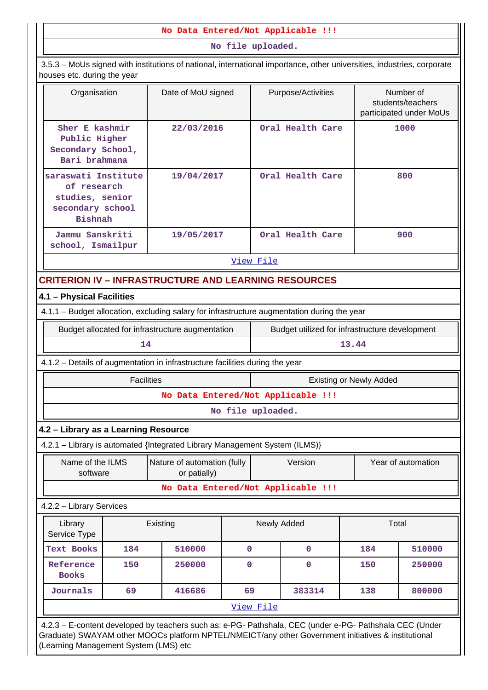#### **No Data Entered/Not Applicable !!!**

 **No file uploaded.** 3.5.3 – MoUs signed with institutions of national, international importance, other universities, industries, corporate houses etc. during the year Organisation | Date of MoU signed | Purpose/Activities | Number of students/teachers participated under MoUs **Sher E kashmir Public Higher Secondary School, Bari brahmana 22/03/2016 Oral Health Care 1000 saraswati Institute of research studies, senior secondary school Bishnah 19/04/2017 Oral Health Care 800 Jammu Sanskriti school, Ismailpur 19/05/2017 Oral Health Care 900** [View File](https://assessmentonline.naac.gov.in/public/Postacc/MoU/5449_MoU_1604040830.xlsx) **CRITERION IV – INFRASTRUCTURE AND LEARNING RESOURCES 4.1 – Physical Facilities** 4.1.1 – Budget allocation, excluding salary for infrastructure augmentation during the year Budget allocated for infrastructure augmentation | Budget utilized for infrastructure development **14 13.44** 4.1.2 – Details of augmentation in infrastructure facilities during the year Facilities **Existing or Newly Added No Data Entered/Not Applicable !!! No file uploaded. 4.2 – Library as a Learning Resource** 4.2.1 – Library is automated {Integrated Library Management System (ILMS)} Name of the ILMS software Nature of automation (fully or patially) Version Year of automation **No Data Entered/Not Applicable !!!** 4.2.2 – Library Services Library Service Type Existing Newly Added | Total **Text Books 184 510000 0 0 184 510000 Reference Books 150 250000 0 0 150 250000 Journals 69 416686 69 383314 138 800000** [View File](https://assessmentonline.naac.gov.in/public/Postacc/Library/5449_Library_1604031567.xlsx) 4.2.3 – E-content developed by teachers such as: e-PG- Pathshala, CEC (under e-PG- Pathshala CEC (Under Graduate) SWAYAM other MOOCs platform NPTEL/NMEICT/any other Government initiatives & institutional (Learning Management System (LMS) etc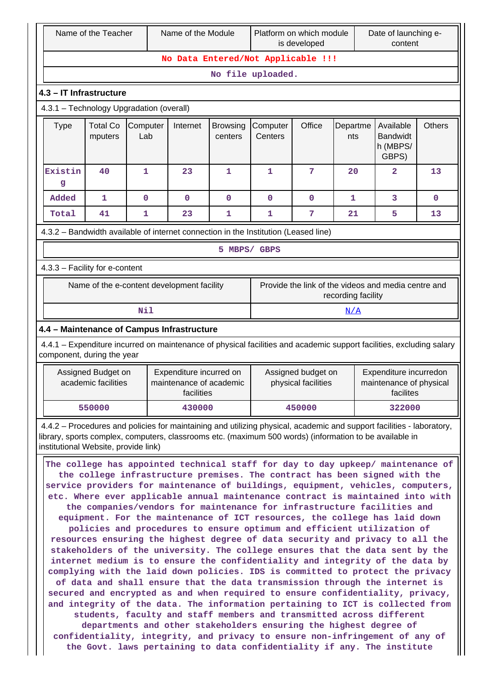|                                                                                                                                                                                                                 | Name of the Teacher                                                                                                                                                                                                                                                                                                                                                                                                                                                                                                                                                                                                                                                                                                                                                                                                                                                                                                                                                                                                                                                                                                                                                                                                                                                                                                                                                                                                                                                                                                                                                                                                      |              | Name of the Module                                               |              |                                                                                                             | Platform on which module<br>is developed |                                                                           | Date of launching e-<br>content |             |  |
|-----------------------------------------------------------------------------------------------------------------------------------------------------------------------------------------------------------------|--------------------------------------------------------------------------------------------------------------------------------------------------------------------------------------------------------------------------------------------------------------------------------------------------------------------------------------------------------------------------------------------------------------------------------------------------------------------------------------------------------------------------------------------------------------------------------------------------------------------------------------------------------------------------------------------------------------------------------------------------------------------------------------------------------------------------------------------------------------------------------------------------------------------------------------------------------------------------------------------------------------------------------------------------------------------------------------------------------------------------------------------------------------------------------------------------------------------------------------------------------------------------------------------------------------------------------------------------------------------------------------------------------------------------------------------------------------------------------------------------------------------------------------------------------------------------------------------------------------------------|--------------|------------------------------------------------------------------|--------------|-------------------------------------------------------------------------------------------------------------|------------------------------------------|---------------------------------------------------------------------------|---------------------------------|-------------|--|
|                                                                                                                                                                                                                 |                                                                                                                                                                                                                                                                                                                                                                                                                                                                                                                                                                                                                                                                                                                                                                                                                                                                                                                                                                                                                                                                                                                                                                                                                                                                                                                                                                                                                                                                                                                                                                                                                          |              |                                                                  |              | No Data Entered/Not Applicable !!!                                                                          |                                          |                                                                           |                                 |             |  |
|                                                                                                                                                                                                                 |                                                                                                                                                                                                                                                                                                                                                                                                                                                                                                                                                                                                                                                                                                                                                                                                                                                                                                                                                                                                                                                                                                                                                                                                                                                                                                                                                                                                                                                                                                                                                                                                                          |              |                                                                  |              | No file uploaded.                                                                                           |                                          |                                                                           |                                 |             |  |
|                                                                                                                                                                                                                 | 4.3 - IT Infrastructure                                                                                                                                                                                                                                                                                                                                                                                                                                                                                                                                                                                                                                                                                                                                                                                                                                                                                                                                                                                                                                                                                                                                                                                                                                                                                                                                                                                                                                                                                                                                                                                                  |              |                                                                  |              |                                                                                                             |                                          |                                                                           |                                 |             |  |
|                                                                                                                                                                                                                 | 4.3.1 - Technology Upgradation (overall)                                                                                                                                                                                                                                                                                                                                                                                                                                                                                                                                                                                                                                                                                                                                                                                                                                                                                                                                                                                                                                                                                                                                                                                                                                                                                                                                                                                                                                                                                                                                                                                 |              |                                                                  |              |                                                                                                             |                                          |                                                                           |                                 |             |  |
| Office<br><b>Total Co</b><br>Internet<br><b>Type</b><br>Computer<br>Computer<br>Departme<br>Available<br><b>Browsing</b><br>Lab<br>Centers<br><b>Bandwidt</b><br>mputers<br>centers<br>nts<br>h (MBPS/<br>GBPS) |                                                                                                                                                                                                                                                                                                                                                                                                                                                                                                                                                                                                                                                                                                                                                                                                                                                                                                                                                                                                                                                                                                                                                                                                                                                                                                                                                                                                                                                                                                                                                                                                                          |              |                                                                  |              |                                                                                                             |                                          | <b>Others</b>                                                             |                                 |             |  |
| Existin<br>g                                                                                                                                                                                                    | 40                                                                                                                                                                                                                                                                                                                                                                                                                                                                                                                                                                                                                                                                                                                                                                                                                                                                                                                                                                                                                                                                                                                                                                                                                                                                                                                                                                                                                                                                                                                                                                                                                       | 1            | 23                                                               | 1            | 1                                                                                                           | 7                                        | 20                                                                        | 2                               | 13          |  |
| Added                                                                                                                                                                                                           | $\mathbf{1}$                                                                                                                                                                                                                                                                                                                                                                                                                                                                                                                                                                                                                                                                                                                                                                                                                                                                                                                                                                                                                                                                                                                                                                                                                                                                                                                                                                                                                                                                                                                                                                                                             | $\mathbf 0$  | $\mathbf 0$                                                      | $\mathbf 0$  | $\mathbf 0$                                                                                                 | $\mathbf 0$                              | $\mathbf{1}$                                                              | 3                               | $\mathbf 0$ |  |
| Total                                                                                                                                                                                                           | 41                                                                                                                                                                                                                                                                                                                                                                                                                                                                                                                                                                                                                                                                                                                                                                                                                                                                                                                                                                                                                                                                                                                                                                                                                                                                                                                                                                                                                                                                                                                                                                                                                       | $\mathbf{1}$ | 23                                                               | 1            | 1                                                                                                           | 7                                        | 21                                                                        | 5                               | 13          |  |
|                                                                                                                                                                                                                 | 4.3.2 - Bandwidth available of internet connection in the Institution (Leased line)                                                                                                                                                                                                                                                                                                                                                                                                                                                                                                                                                                                                                                                                                                                                                                                                                                                                                                                                                                                                                                                                                                                                                                                                                                                                                                                                                                                                                                                                                                                                      |              |                                                                  |              |                                                                                                             |                                          |                                                                           |                                 |             |  |
|                                                                                                                                                                                                                 |                                                                                                                                                                                                                                                                                                                                                                                                                                                                                                                                                                                                                                                                                                                                                                                                                                                                                                                                                                                                                                                                                                                                                                                                                                                                                                                                                                                                                                                                                                                                                                                                                          |              |                                                                  | 5 MBPS/ GBPS |                                                                                                             |                                          |                                                                           |                                 |             |  |
|                                                                                                                                                                                                                 | 4.3.3 - Facility for e-content                                                                                                                                                                                                                                                                                                                                                                                                                                                                                                                                                                                                                                                                                                                                                                                                                                                                                                                                                                                                                                                                                                                                                                                                                                                                                                                                                                                                                                                                                                                                                                                           |              |                                                                  |              |                                                                                                             |                                          |                                                                           |                                 |             |  |
|                                                                                                                                                                                                                 | Name of the e-content development facility                                                                                                                                                                                                                                                                                                                                                                                                                                                                                                                                                                                                                                                                                                                                                                                                                                                                                                                                                                                                                                                                                                                                                                                                                                                                                                                                                                                                                                                                                                                                                                               |              |                                                                  |              |                                                                                                             |                                          | Provide the link of the videos and media centre and<br>recording facility |                                 |             |  |
|                                                                                                                                                                                                                 |                                                                                                                                                                                                                                                                                                                                                                                                                                                                                                                                                                                                                                                                                                                                                                                                                                                                                                                                                                                                                                                                                                                                                                                                                                                                                                                                                                                                                                                                                                                                                                                                                          | <b>Nil</b>   |                                                                  |              |                                                                                                             |                                          | N/A                                                                       |                                 |             |  |
|                                                                                                                                                                                                                 | 4.4 - Maintenance of Campus Infrastructure                                                                                                                                                                                                                                                                                                                                                                                                                                                                                                                                                                                                                                                                                                                                                                                                                                                                                                                                                                                                                                                                                                                                                                                                                                                                                                                                                                                                                                                                                                                                                                               |              |                                                                  |              |                                                                                                             |                                          |                                                                           |                                 |             |  |
|                                                                                                                                                                                                                 | 4.4.1 - Expenditure incurred on maintenance of physical facilities and academic support facilities, excluding salary<br>component, during the year                                                                                                                                                                                                                                                                                                                                                                                                                                                                                                                                                                                                                                                                                                                                                                                                                                                                                                                                                                                                                                                                                                                                                                                                                                                                                                                                                                                                                                                                       |              |                                                                  |              |                                                                                                             |                                          |                                                                           |                                 |             |  |
|                                                                                                                                                                                                                 | Assigned Budget on<br>academic facilities                                                                                                                                                                                                                                                                                                                                                                                                                                                                                                                                                                                                                                                                                                                                                                                                                                                                                                                                                                                                                                                                                                                                                                                                                                                                                                                                                                                                                                                                                                                                                                                |              | Expenditure incurred on<br>maintenance of academic<br>facilities |              | Expenditure incurredon<br>Assigned budget on<br>physical facilities<br>maintenance of physical<br>facilites |                                          |                                                                           |                                 |             |  |
|                                                                                                                                                                                                                 | 550000                                                                                                                                                                                                                                                                                                                                                                                                                                                                                                                                                                                                                                                                                                                                                                                                                                                                                                                                                                                                                                                                                                                                                                                                                                                                                                                                                                                                                                                                                                                                                                                                                   |              | 430000                                                           |              | 450000<br>322000                                                                                            |                                          |                                                                           |                                 |             |  |
|                                                                                                                                                                                                                 | 4.4.2 – Procedures and policies for maintaining and utilizing physical, academic and support facilities - laboratory,                                                                                                                                                                                                                                                                                                                                                                                                                                                                                                                                                                                                                                                                                                                                                                                                                                                                                                                                                                                                                                                                                                                                                                                                                                                                                                                                                                                                                                                                                                    |              |                                                                  |              |                                                                                                             |                                          |                                                                           |                                 |             |  |
|                                                                                                                                                                                                                 | library, sports complex, computers, classrooms etc. (maximum 500 words) (information to be available in<br>institutional Website, provide link)<br>The college has appointed technical staff for day to day upkeep/ maintenance of<br>the college infrastructure premises. The contract has been signed with the<br>service providers for maintenance of buildings, equipment, vehicles, computers,<br>etc. Where ever applicable annual maintenance contract is maintained into with<br>the companies/vendors for maintenance for infrastructure facilities and<br>equipment. For the maintenance of ICT resources, the college has laid down<br>policies and procedures to ensure optimum and efficient utilization of<br>resources ensuring the highest degree of data security and privacy to all the<br>stakeholders of the university. The college ensures that the data sent by the<br>internet medium is to ensure the confidentiality and integrity of the data by<br>complying with the laid down policies. IDS is committed to protect the privacy<br>of data and shall ensure that the data transmission through the internet is<br>secured and encrypted as and when required to ensure confidentiality, privacy,<br>and integrity of the data. The information pertaining to ICT is collected from<br>students, faculty and staff members and transmitted across different<br>departments and other stakeholders ensuring the highest degree of<br>confidentiality, integrity, and privacy to ensure non-infringement of any of<br>the Govt. laws pertaining to data confidentiality if any. The institute |              |                                                                  |              |                                                                                                             |                                          |                                                                           |                                 |             |  |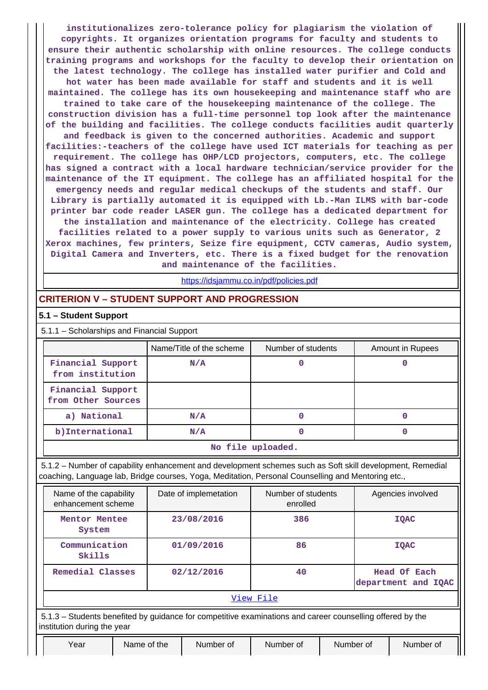**institutionalizes zero-tolerance policy for plagiarism the violation of copyrights. It organizes orientation programs for faculty and students to ensure their authentic scholarship with online resources. The college conducts training programs and workshops for the faculty to develop their orientation on the latest technology. The college has installed water purifier and Cold and hot water has been made available for staff and students and it is well maintained. The college has its own housekeeping and maintenance staff who are trained to take care of the housekeeping maintenance of the college. The construction division has a full-time personnel top look after the maintenance**

**of the building and facilities. The college conducts facilities audit quarterly**

**and feedback is given to the concerned authorities. Academic and support facilities:-teachers of the college have used ICT materials for teaching as per requirement. The college has OHP/LCD projectors, computers, etc. The college has signed a contract with a local hardware technician/service provider for the maintenance of the IT equipment. The college has an affiliated hospital for the emergency needs and regular medical checkups of the students and staff. Our Library is partially automated it is equipped with Lb.-Man ILMS with bar-code printer bar code reader LASER gun. The college has a dedicated department for the installation and maintenance of the electricity. College has created facilities related to a power supply to various units such as Generator, 2 Xerox machines, few printers, Seize fire equipment, CCTV cameras, Audio system, Digital Camera and Inverters, etc. There is a fixed budget for the renovation**

**and maintenance of the facilities.**

<https://idsjammu.co.in/pdf/policies.pdf>

## **CRITERION V – STUDENT SUPPORT AND PROGRESSION**

#### **5.1 – Student Support**

5.1.1 – Scholarships and Financial Support

|                                         | Name/Title of the scheme | Number of students | Amount in Rupees |  |  |  |  |  |
|-----------------------------------------|--------------------------|--------------------|------------------|--|--|--|--|--|
| Financial Support<br>from institution   | N/A                      |                    |                  |  |  |  |  |  |
| Financial Support<br>from Other Sources |                          |                    |                  |  |  |  |  |  |
| a) National                             | N/A                      | 0                  |                  |  |  |  |  |  |
| b) International                        | N/A                      |                    |                  |  |  |  |  |  |
| No file uploaded.                       |                          |                    |                  |  |  |  |  |  |

 5.1.2 – Number of capability enhancement and development schemes such as Soft skill development, Remedial coaching, Language lab, Bridge courses, Yoga, Meditation, Personal Counselling and Mentoring etc.,

| Name of the capability<br>enhancement scheme | Date of implemetation                                                                                     | Number of students<br>enrolled | Agencies involved                   |  |  |  |  |  |  |  |  |
|----------------------------------------------|-----------------------------------------------------------------------------------------------------------|--------------------------------|-------------------------------------|--|--|--|--|--|--|--|--|
| Mentor Mentee<br>System                      | 23/08/2016                                                                                                | 386                            | <b>IOAC</b>                         |  |  |  |  |  |  |  |  |
| Communication<br>Skills                      | 01/09/2016                                                                                                | 86                             | <b>IOAC</b>                         |  |  |  |  |  |  |  |  |
| Remedial Classes                             | 02/12/2016                                                                                                | 40                             | Head Of Each<br>department and IQAC |  |  |  |  |  |  |  |  |
|                                              |                                                                                                           | View File                      |                                     |  |  |  |  |  |  |  |  |
|                                              | 5.1.3 – Students benefited by guidance for competitive examinations and career counselling offered by the |                                |                                     |  |  |  |  |  |  |  |  |

institution during the year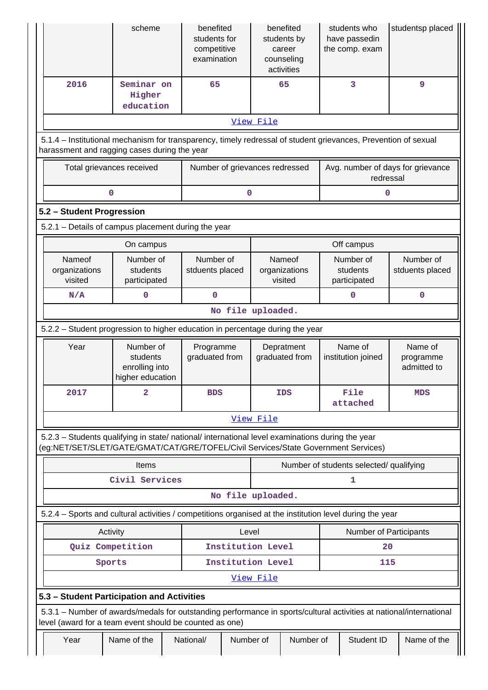|                                                                                                                                                                                        | scheme                                                      | benefited<br>students for<br>competitive<br>examination | benefited<br>students by<br>career<br>counseling<br>activities | students who<br>have passedin<br>the comp. exam | studentsp placed                    |  |  |  |  |  |  |  |
|----------------------------------------------------------------------------------------------------------------------------------------------------------------------------------------|-------------------------------------------------------------|---------------------------------------------------------|----------------------------------------------------------------|-------------------------------------------------|-------------------------------------|--|--|--|--|--|--|--|
| 2016                                                                                                                                                                                   | Seminar on<br>Higher<br>education                           | 65                                                      | 65                                                             | 3                                               | 9                                   |  |  |  |  |  |  |  |
| View File                                                                                                                                                                              |                                                             |                                                         |                                                                |                                                 |                                     |  |  |  |  |  |  |  |
| 5.1.4 - Institutional mechanism for transparency, timely redressal of student grievances, Prevention of sexual<br>harassment and ragging cases during the year                         |                                                             |                                                         |                                                                |                                                 |                                     |  |  |  |  |  |  |  |
| Total grievances received                                                                                                                                                              |                                                             | Number of grievances redressed                          |                                                                | Avg. number of days for grievance<br>redressal  |                                     |  |  |  |  |  |  |  |
| 0                                                                                                                                                                                      |                                                             | 0                                                       |                                                                | 0                                               |                                     |  |  |  |  |  |  |  |
| 5.2 - Student Progression                                                                                                                                                              |                                                             |                                                         |                                                                |                                                 |                                     |  |  |  |  |  |  |  |
| 5.2.1 - Details of campus placement during the year                                                                                                                                    |                                                             |                                                         |                                                                |                                                 |                                     |  |  |  |  |  |  |  |
|                                                                                                                                                                                        | On campus                                                   |                                                         |                                                                | Off campus                                      |                                     |  |  |  |  |  |  |  |
| Nameof<br>organizations<br>visited                                                                                                                                                     | Number of<br>students<br>participated                       | Number of<br>stduents placed                            | Nameof<br>organizations<br>visited                             | Number of<br>students<br>participated           | Number of<br>stduents placed        |  |  |  |  |  |  |  |
| N/A                                                                                                                                                                                    | 0                                                           | 0                                                       |                                                                | $\mathbf 0$                                     | 0                                   |  |  |  |  |  |  |  |
|                                                                                                                                                                                        |                                                             |                                                         | No file uploaded.                                              |                                                 |                                     |  |  |  |  |  |  |  |
| 5.2.2 – Student progression to higher education in percentage during the year                                                                                                          |                                                             |                                                         |                                                                |                                                 |                                     |  |  |  |  |  |  |  |
| Year                                                                                                                                                                                   | Number of<br>students<br>enrolling into<br>higher education | Programme<br>graduated from                             | Depratment<br>graduated from                                   | Name of<br>institution joined                   | Name of<br>programme<br>admitted to |  |  |  |  |  |  |  |
| 2017                                                                                                                                                                                   | 2                                                           | BDS                                                     | <b>IDS</b>                                                     | File<br>attached                                | <b>MDS</b>                          |  |  |  |  |  |  |  |
|                                                                                                                                                                                        |                                                             |                                                         | View File                                                      |                                                 |                                     |  |  |  |  |  |  |  |
| 5.2.3 – Students qualifying in state/ national/ international level examinations during the year<br>(eg:NET/SET/SLET/GATE/GMAT/CAT/GRE/TOFEL/Civil Services/State Government Services) |                                                             |                                                         |                                                                |                                                 |                                     |  |  |  |  |  |  |  |
|                                                                                                                                                                                        | Items                                                       |                                                         |                                                                | Number of students selected/ qualifying         |                                     |  |  |  |  |  |  |  |
|                                                                                                                                                                                        | Civil Services                                              |                                                         |                                                                | 1                                               |                                     |  |  |  |  |  |  |  |
|                                                                                                                                                                                        |                                                             |                                                         | No file uploaded.                                              |                                                 |                                     |  |  |  |  |  |  |  |
| 5.2.4 – Sports and cultural activities / competitions organised at the institution level during the year                                                                               |                                                             |                                                         |                                                                |                                                 |                                     |  |  |  |  |  |  |  |
| Activity                                                                                                                                                                               |                                                             | Level                                                   |                                                                | Number of Participants                          |                                     |  |  |  |  |  |  |  |
| Quiz Competition                                                                                                                                                                       |                                                             | Institution Level                                       |                                                                | 20                                              |                                     |  |  |  |  |  |  |  |
| Sports                                                                                                                                                                                 |                                                             | Institution Level                                       |                                                                | 115                                             |                                     |  |  |  |  |  |  |  |
|                                                                                                                                                                                        |                                                             |                                                         | View File                                                      |                                                 |                                     |  |  |  |  |  |  |  |
| 5.3 - Student Participation and Activities                                                                                                                                             |                                                             |                                                         |                                                                |                                                 |                                     |  |  |  |  |  |  |  |
| 5.3.1 – Number of awards/medals for outstanding performance in sports/cultural activities at national/international<br>level (award for a team event should be counted as one)         |                                                             |                                                         |                                                                |                                                 |                                     |  |  |  |  |  |  |  |
| Year                                                                                                                                                                                   | Name of the                                                 | National/<br>Number of                                  | Number of                                                      | Student ID                                      | Name of the                         |  |  |  |  |  |  |  |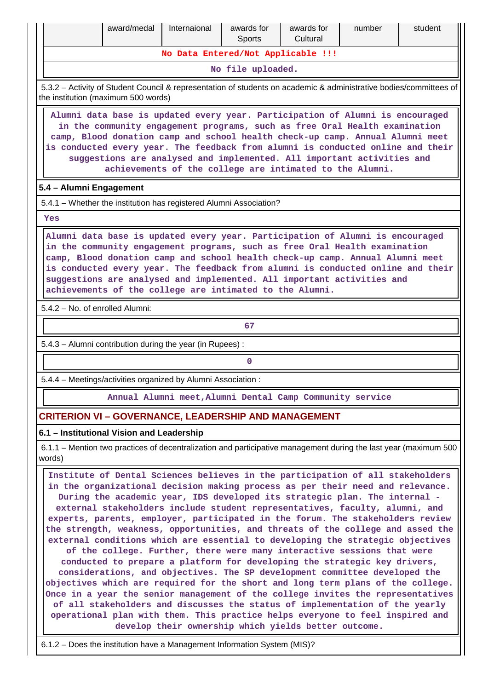|                                                                                                                                                                                                                                                                                                                                                                                                                                                                       | award/medal                                                                                                                                                                                                                                                                                                                                                                                                                                                                                                                                                                                                                                                                                                                                                                                                                                                                                                                                                                                                                                                                                                                                                       | Internaional | awards for<br><b>Sports</b>                              | awards for<br>Cultural | number | student                                                                                                          |  |  |  |  |  |  |
|-----------------------------------------------------------------------------------------------------------------------------------------------------------------------------------------------------------------------------------------------------------------------------------------------------------------------------------------------------------------------------------------------------------------------------------------------------------------------|-------------------------------------------------------------------------------------------------------------------------------------------------------------------------------------------------------------------------------------------------------------------------------------------------------------------------------------------------------------------------------------------------------------------------------------------------------------------------------------------------------------------------------------------------------------------------------------------------------------------------------------------------------------------------------------------------------------------------------------------------------------------------------------------------------------------------------------------------------------------------------------------------------------------------------------------------------------------------------------------------------------------------------------------------------------------------------------------------------------------------------------------------------------------|--------------|----------------------------------------------------------|------------------------|--------|------------------------------------------------------------------------------------------------------------------|--|--|--|--|--|--|
| No Data Entered/Not Applicable !!!                                                                                                                                                                                                                                                                                                                                                                                                                                    |                                                                                                                                                                                                                                                                                                                                                                                                                                                                                                                                                                                                                                                                                                                                                                                                                                                                                                                                                                                                                                                                                                                                                                   |              |                                                          |                        |        |                                                                                                                  |  |  |  |  |  |  |
| No file uploaded.                                                                                                                                                                                                                                                                                                                                                                                                                                                     |                                                                                                                                                                                                                                                                                                                                                                                                                                                                                                                                                                                                                                                                                                                                                                                                                                                                                                                                                                                                                                                                                                                                                                   |              |                                                          |                        |        |                                                                                                                  |  |  |  |  |  |  |
| 5.3.2 - Activity of Student Council & representation of students on academic & administrative bodies/committees of<br>the institution (maximum 500 words)                                                                                                                                                                                                                                                                                                             |                                                                                                                                                                                                                                                                                                                                                                                                                                                                                                                                                                                                                                                                                                                                                                                                                                                                                                                                                                                                                                                                                                                                                                   |              |                                                          |                        |        |                                                                                                                  |  |  |  |  |  |  |
| Alumni data base is updated every year. Participation of Alumni is encouraged<br>in the community engagement programs, such as free Oral Health examination<br>camp, Blood donation camp and school health check-up camp. Annual Alumni meet<br>is conducted every year. The feedback from alumni is conducted online and their<br>suggestions are analysed and implemented. All important activities and<br>achievements of the college are intimated to the Alumni. |                                                                                                                                                                                                                                                                                                                                                                                                                                                                                                                                                                                                                                                                                                                                                                                                                                                                                                                                                                                                                                                                                                                                                                   |              |                                                          |                        |        |                                                                                                                  |  |  |  |  |  |  |
| 5.4 - Alumni Engagement                                                                                                                                                                                                                                                                                                                                                                                                                                               |                                                                                                                                                                                                                                                                                                                                                                                                                                                                                                                                                                                                                                                                                                                                                                                                                                                                                                                                                                                                                                                                                                                                                                   |              |                                                          |                        |        |                                                                                                                  |  |  |  |  |  |  |
| 5.4.1 - Whether the institution has registered Alumni Association?                                                                                                                                                                                                                                                                                                                                                                                                    |                                                                                                                                                                                                                                                                                                                                                                                                                                                                                                                                                                                                                                                                                                                                                                                                                                                                                                                                                                                                                                                                                                                                                                   |              |                                                          |                        |        |                                                                                                                  |  |  |  |  |  |  |
| Yes                                                                                                                                                                                                                                                                                                                                                                                                                                                                   |                                                                                                                                                                                                                                                                                                                                                                                                                                                                                                                                                                                                                                                                                                                                                                                                                                                                                                                                                                                                                                                                                                                                                                   |              |                                                          |                        |        |                                                                                                                  |  |  |  |  |  |  |
| Alumni data base is updated every year. Participation of Alumni is encouraged<br>in the community engagement programs, such as free Oral Health examination<br>camp, Blood donation camp and school health check-up camp. Annual Alumni meet<br>is conducted every year. The feedback from alumni is conducted online and their<br>suggestions are analysed and implemented. All important activities and<br>achievements of the college are intimated to the Alumni. |                                                                                                                                                                                                                                                                                                                                                                                                                                                                                                                                                                                                                                                                                                                                                                                                                                                                                                                                                                                                                                                                                                                                                                   |              |                                                          |                        |        |                                                                                                                  |  |  |  |  |  |  |
| 5.4.2 - No. of enrolled Alumni:                                                                                                                                                                                                                                                                                                                                                                                                                                       |                                                                                                                                                                                                                                                                                                                                                                                                                                                                                                                                                                                                                                                                                                                                                                                                                                                                                                                                                                                                                                                                                                                                                                   |              |                                                          |                        |        |                                                                                                                  |  |  |  |  |  |  |
|                                                                                                                                                                                                                                                                                                                                                                                                                                                                       |                                                                                                                                                                                                                                                                                                                                                                                                                                                                                                                                                                                                                                                                                                                                                                                                                                                                                                                                                                                                                                                                                                                                                                   |              | 67                                                       |                        |        |                                                                                                                  |  |  |  |  |  |  |
|                                                                                                                                                                                                                                                                                                                                                                                                                                                                       | 5.4.3 - Alumni contribution during the year (in Rupees):                                                                                                                                                                                                                                                                                                                                                                                                                                                                                                                                                                                                                                                                                                                                                                                                                                                                                                                                                                                                                                                                                                          |              |                                                          |                        |        |                                                                                                                  |  |  |  |  |  |  |
|                                                                                                                                                                                                                                                                                                                                                                                                                                                                       |                                                                                                                                                                                                                                                                                                                                                                                                                                                                                                                                                                                                                                                                                                                                                                                                                                                                                                                                                                                                                                                                                                                                                                   |              | 0                                                        |                        |        |                                                                                                                  |  |  |  |  |  |  |
|                                                                                                                                                                                                                                                                                                                                                                                                                                                                       | 5.4.4 - Meetings/activities organized by Alumni Association:                                                                                                                                                                                                                                                                                                                                                                                                                                                                                                                                                                                                                                                                                                                                                                                                                                                                                                                                                                                                                                                                                                      |              |                                                          |                        |        |                                                                                                                  |  |  |  |  |  |  |
|                                                                                                                                                                                                                                                                                                                                                                                                                                                                       |                                                                                                                                                                                                                                                                                                                                                                                                                                                                                                                                                                                                                                                                                                                                                                                                                                                                                                                                                                                                                                                                                                                                                                   |              | Annual Alumni meet, Alumni Dental Camp Community service |                        |        |                                                                                                                  |  |  |  |  |  |  |
|                                                                                                                                                                                                                                                                                                                                                                                                                                                                       | <b>CRITERION VI - GOVERNANCE, LEADERSHIP AND MANAGEMENT</b>                                                                                                                                                                                                                                                                                                                                                                                                                                                                                                                                                                                                                                                                                                                                                                                                                                                                                                                                                                                                                                                                                                       |              |                                                          |                        |        |                                                                                                                  |  |  |  |  |  |  |
|                                                                                                                                                                                                                                                                                                                                                                                                                                                                       | 6.1 - Institutional Vision and Leadership                                                                                                                                                                                                                                                                                                                                                                                                                                                                                                                                                                                                                                                                                                                                                                                                                                                                                                                                                                                                                                                                                                                         |              |                                                          |                        |        |                                                                                                                  |  |  |  |  |  |  |
| words)                                                                                                                                                                                                                                                                                                                                                                                                                                                                |                                                                                                                                                                                                                                                                                                                                                                                                                                                                                                                                                                                                                                                                                                                                                                                                                                                                                                                                                                                                                                                                                                                                                                   |              |                                                          |                        |        | 6.1.1 – Mention two practices of decentralization and participative management during the last year (maximum 500 |  |  |  |  |  |  |
|                                                                                                                                                                                                                                                                                                                                                                                                                                                                       | Institute of Dental Sciences believes in the participation of all stakeholders<br>in the organizational decision making process as per their need and relevance.<br>During the academic year, IDS developed its strategic plan. The internal -<br>external stakeholders include student representatives, faculty, alumni, and<br>experts, parents, employer, participated in the forum. The stakeholders review<br>the strength, weakness, opportunities, and threats of the college and assed the<br>external conditions which are essential to developing the strategic objectives<br>of the college. Further, there were many interactive sessions that were<br>conducted to prepare a platform for developing the strategic key drivers,<br>considerations, and objectives. The SP development committee developed the<br>objectives which are required for the short and long term plans of the college.<br>Once in a year the senior management of the college invites the representatives<br>of all stakeholders and discusses the status of implementation of the yearly<br>operational plan with them. This practice helps everyone to feel inspired and |              | develop their ownership which yields better outcome.     |                        |        |                                                                                                                  |  |  |  |  |  |  |

6.1.2 – Does the institution have a Management Information System (MIS)?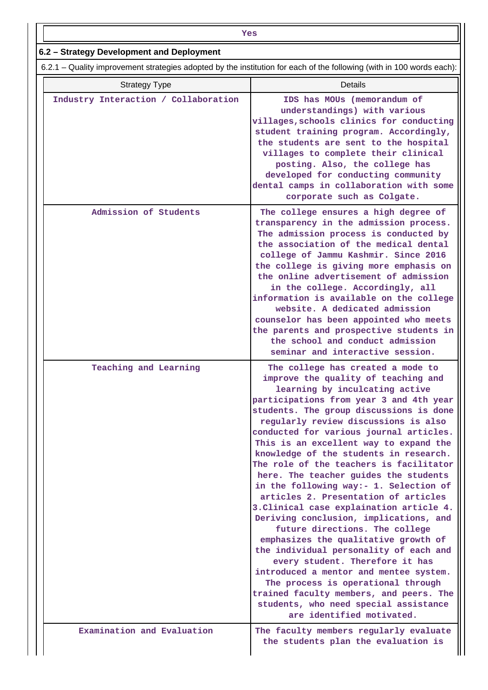| Yes                                                                                                                   |                                                                                                                                                                                                                                                                                                                                                                                                                                                                                                                                                                                                                                                                                                                                                                                                                                                                                                                                                                                             |  |  |  |  |  |  |  |  |
|-----------------------------------------------------------------------------------------------------------------------|---------------------------------------------------------------------------------------------------------------------------------------------------------------------------------------------------------------------------------------------------------------------------------------------------------------------------------------------------------------------------------------------------------------------------------------------------------------------------------------------------------------------------------------------------------------------------------------------------------------------------------------------------------------------------------------------------------------------------------------------------------------------------------------------------------------------------------------------------------------------------------------------------------------------------------------------------------------------------------------------|--|--|--|--|--|--|--|--|
| 6.2 - Strategy Development and Deployment                                                                             |                                                                                                                                                                                                                                                                                                                                                                                                                                                                                                                                                                                                                                                                                                                                                                                                                                                                                                                                                                                             |  |  |  |  |  |  |  |  |
| 6.2.1 – Quality improvement strategies adopted by the institution for each of the following (with in 100 words each): |                                                                                                                                                                                                                                                                                                                                                                                                                                                                                                                                                                                                                                                                                                                                                                                                                                                                                                                                                                                             |  |  |  |  |  |  |  |  |
| <b>Strategy Type</b>                                                                                                  | <b>Details</b>                                                                                                                                                                                                                                                                                                                                                                                                                                                                                                                                                                                                                                                                                                                                                                                                                                                                                                                                                                              |  |  |  |  |  |  |  |  |
| Industry Interaction / Collaboration                                                                                  | IDS has MOUs (memorandum of<br>understandings) with various<br>villages, schools clinics for conducting<br>student training program. Accordingly,<br>the students are sent to the hospital<br>villages to complete their clinical<br>posting. Also, the college has<br>developed for conducting community<br>dental camps in collaboration with some<br>corporate such as Colgate.                                                                                                                                                                                                                                                                                                                                                                                                                                                                                                                                                                                                          |  |  |  |  |  |  |  |  |
| Admission of Students                                                                                                 | The college ensures a high degree of<br>transparency in the admission process.<br>The admission process is conducted by<br>the association of the medical dental<br>college of Jammu Kashmir. Since 2016<br>the college is giving more emphasis on<br>the online advertisement of admission<br>in the college. Accordingly, all<br>information is available on the college<br>website. A dedicated admission<br>counselor has been appointed who meets<br>the parents and prospective students in<br>the school and conduct admission<br>seminar and interactive session.                                                                                                                                                                                                                                                                                                                                                                                                                   |  |  |  |  |  |  |  |  |
| Teaching and Learning                                                                                                 | The college has created a mode to<br>improve the quality of teaching and<br>learning by inculcating active<br>participations from year 3 and 4th year<br>students. The group discussions is done<br>regularly review discussions is also<br>conducted for various journal articles.<br>This is an excellent way to expand the<br>knowledge of the students in research.<br>The role of the teachers is facilitator<br>here. The teacher guides the students<br>in the following way:- 1. Selection of<br>articles 2. Presentation of articles<br>3. Clinical case explaination article 4.<br>Deriving conclusion, implications, and<br>future directions. The college<br>emphasizes the qualitative growth of<br>the individual personality of each and<br>every student. Therefore it has<br>introduced a mentor and mentee system.<br>The process is operational through<br>trained faculty members, and peers. The<br>students, who need special assistance<br>are identified motivated. |  |  |  |  |  |  |  |  |
| Examination and Evaluation                                                                                            | The faculty members regularly evaluate<br>the students plan the evaluation is                                                                                                                                                                                                                                                                                                                                                                                                                                                                                                                                                                                                                                                                                                                                                                                                                                                                                                               |  |  |  |  |  |  |  |  |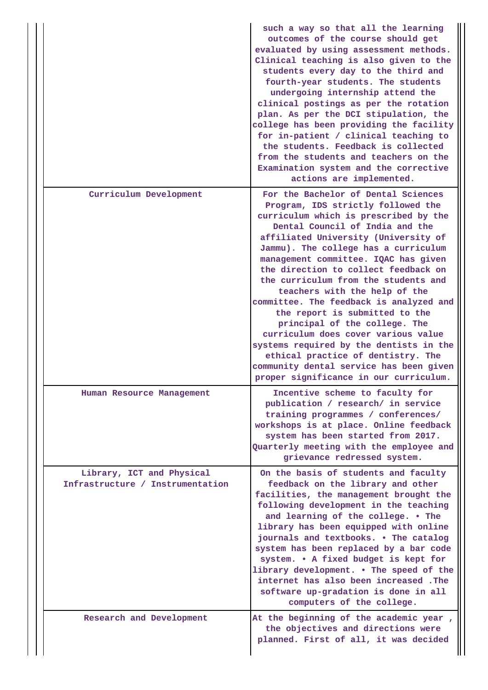|                                                               | such a way so that all the learning<br>outcomes of the course should get<br>evaluated by using assessment methods.<br>Clinical teaching is also given to the<br>students every day to the third and<br>fourth-year students. The students<br>undergoing internship attend the<br>clinical postings as per the rotation<br>plan. As per the DCI stipulation, the<br>college has been providing the facility<br>for in-patient / clinical teaching to<br>the students. Feedback is collected<br>from the students and teachers on the<br>Examination system and the corrective<br>actions are implemented.                                                                                                                  |
|---------------------------------------------------------------|---------------------------------------------------------------------------------------------------------------------------------------------------------------------------------------------------------------------------------------------------------------------------------------------------------------------------------------------------------------------------------------------------------------------------------------------------------------------------------------------------------------------------------------------------------------------------------------------------------------------------------------------------------------------------------------------------------------------------|
| Curriculum Development                                        | For the Bachelor of Dental Sciences<br>Program, IDS strictly followed the<br>curriculum which is prescribed by the<br>Dental Council of India and the<br>affiliated University (University of<br>Jammu). The college has a curriculum<br>management committee. IQAC has given<br>the direction to collect feedback on<br>the curriculum from the students and<br>teachers with the help of the<br>committee. The feedback is analyzed and<br>the report is submitted to the<br>principal of the college. The<br>curriculum does cover various value<br>systems required by the dentists in the<br>ethical practice of dentistry. The<br>community dental service has been given<br>proper significance in our curriculum. |
| Human Resource Management                                     | Incentive scheme to faculty for<br>publication / research/ in service<br>training programmes / conferences/<br>workshops is at place. Online feedback<br>system has been started from 2017.<br>Quarterly meeting with the employee and<br>grievance redressed system.                                                                                                                                                                                                                                                                                                                                                                                                                                                     |
| Library, ICT and Physical<br>Infrastructure / Instrumentation | On the basis of students and faculty<br>feedback on the library and other<br>facilities, the management brought the<br>following development in the teaching<br>and learning of the college. . The<br>library has been equipped with online<br>journals and textbooks. . The catalog<br>system has been replaced by a bar code<br>system. . A fixed budget is kept for<br>library development. . The speed of the<br>internet has also been increased. The<br>software up-gradation is done in all<br>computers of the college.                                                                                                                                                                                           |
| Research and Development                                      | At the beginning of the academic year,<br>the objectives and directions were<br>planned. First of all, it was decided                                                                                                                                                                                                                                                                                                                                                                                                                                                                                                                                                                                                     |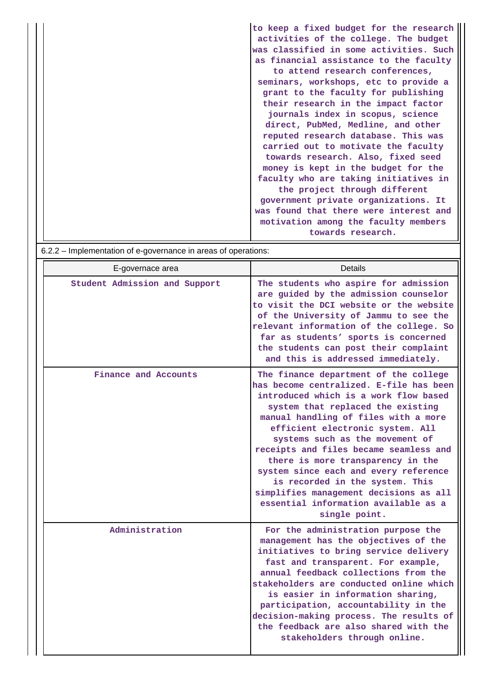|                                                                | to keep a fixed budget for the research |
|----------------------------------------------------------------|-----------------------------------------|
|                                                                | activities of the college. The budget   |
|                                                                | was classified in some activities. Such |
|                                                                | as financial assistance to the faculty  |
|                                                                | to attend research conferences,         |
|                                                                | seminars, workshops, etc to provide a   |
|                                                                | grant to the faculty for publishing     |
|                                                                | their research in the impact factor     |
|                                                                | journals index in scopus, science       |
|                                                                | direct, PubMed, Medline, and other      |
|                                                                | reputed research database. This was     |
|                                                                | carried out to motivate the faculty     |
|                                                                | towards research. Also, fixed seed      |
|                                                                | money is kept in the budget for the     |
|                                                                | faculty who are taking initiatives in   |
|                                                                | the project through different           |
|                                                                | government private organizations. It    |
|                                                                | was found that there were interest and  |
|                                                                | motivation among the faculty members    |
|                                                                | towards research.                       |
| $622 -$ Implementation of e-governance in areas of operations: |                                         |

| $0.2.2 -$ implementation or e-governance in areas or operations. |                                                                                                                                                                                                                                                                                                                                                                                                                                                                                                                                             |
|------------------------------------------------------------------|---------------------------------------------------------------------------------------------------------------------------------------------------------------------------------------------------------------------------------------------------------------------------------------------------------------------------------------------------------------------------------------------------------------------------------------------------------------------------------------------------------------------------------------------|
| E-governace area                                                 | <b>Details</b>                                                                                                                                                                                                                                                                                                                                                                                                                                                                                                                              |
| Student Admission and Support                                    | The students who aspire for admission<br>are guided by the admission counselor<br>to visit the DCI website or the website<br>of the University of Jammu to see the<br>relevant information of the college. So<br>far as students' sports is concerned<br>the students can post their complaint<br>and this is addressed immediately.                                                                                                                                                                                                        |
| Finance and Accounts                                             | The finance department of the college<br>has become centralized. E-file has been<br>introduced which is a work flow based<br>system that replaced the existing<br>manual handling of files with a more<br>efficient electronic system. All<br>systems such as the movement of<br>receipts and files became seamless and<br>there is more transparency in the<br>system since each and every reference<br>is recorded in the system. This<br>simplifies management decisions as all<br>essential information available as a<br>single point. |
| Administration                                                   | For the administration purpose the<br>management has the objectives of the<br>initiatives to bring service delivery<br>fast and transparent. For example,<br>annual feedback collections from the<br>stakeholders are conducted online which<br>is easier in information sharing,<br>participation, accountability in the<br>decision-making process. The results of<br>the feedback are also shared with the<br>stakeholders through online.                                                                                               |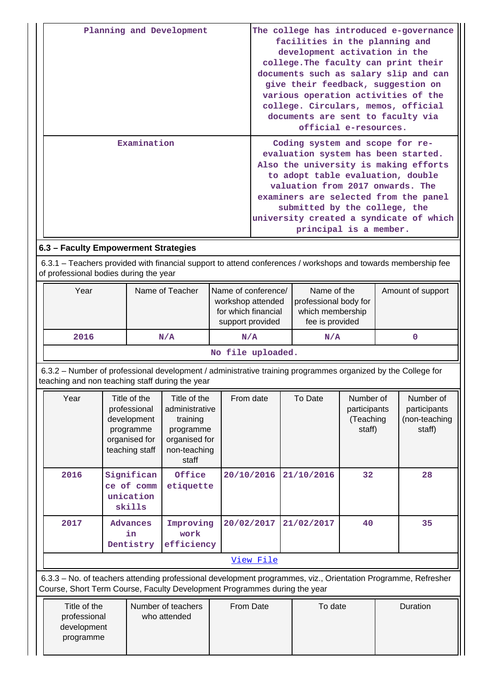|                                                                                                                                                                                            |  |                                                                                             | Planning and Development                                                                          |           | The college has introduced e-governance<br>facilities in the planning and<br>development activation in the<br>college. The faculty can print their<br>documents such as salary slip and can<br>give their feedback, suggestion on<br>various operation activities of the<br>college. Circulars, memos, official<br>documents are sent to faculty via<br>official e-resources. |                                                                                                                                                                                                                                                                                                                                         |     |            |                                                  |                   |                                                      |
|--------------------------------------------------------------------------------------------------------------------------------------------------------------------------------------------|--|---------------------------------------------------------------------------------------------|---------------------------------------------------------------------------------------------------|-----------|-------------------------------------------------------------------------------------------------------------------------------------------------------------------------------------------------------------------------------------------------------------------------------------------------------------------------------------------------------------------------------|-----------------------------------------------------------------------------------------------------------------------------------------------------------------------------------------------------------------------------------------------------------------------------------------------------------------------------------------|-----|------------|--------------------------------------------------|-------------------|------------------------------------------------------|
|                                                                                                                                                                                            |  | Examination                                                                                 |                                                                                                   |           |                                                                                                                                                                                                                                                                                                                                                                               | Coding system and scope for re-<br>evaluation system has been started.<br>Also the university is making efforts<br>to adopt table evaluation, double<br>valuation from 2017 onwards. The<br>examiners are selected from the panel<br>submitted by the college, the<br>university created a syndicate of which<br>principal is a member. |     |            |                                                  |                   |                                                      |
| 6.3 - Faculty Empowerment Strategies                                                                                                                                                       |  |                                                                                             |                                                                                                   |           |                                                                                                                                                                                                                                                                                                                                                                               |                                                                                                                                                                                                                                                                                                                                         |     |            |                                                  |                   |                                                      |
| 6.3.1 – Teachers provided with financial support to attend conferences / workshops and towards membership fee<br>of professional bodies during the year                                    |  |                                                                                             |                                                                                                   |           |                                                                                                                                                                                                                                                                                                                                                                               |                                                                                                                                                                                                                                                                                                                                         |     |            |                                                  |                   |                                                      |
| Year                                                                                                                                                                                       |  |                                                                                             | Name of Teacher                                                                                   |           |                                                                                                                                                                                                                                                                                                                                                                               | Name of the<br>Name of conference/<br>workshop attended<br>professional body for<br>for which financial<br>which membership<br>fee is provided<br>support provided                                                                                                                                                                      |     |            |                                                  | Amount of support |                                                      |
| 2016                                                                                                                                                                                       |  |                                                                                             | N/A                                                                                               | N/A       |                                                                                                                                                                                                                                                                                                                                                                               |                                                                                                                                                                                                                                                                                                                                         | N/A |            |                                                  |                   | $\mathbf{0}$                                         |
|                                                                                                                                                                                            |  |                                                                                             |                                                                                                   |           |                                                                                                                                                                                                                                                                                                                                                                               | No file uploaded.                                                                                                                                                                                                                                                                                                                       |     |            |                                                  |                   |                                                      |
| 6.3.2 – Number of professional development / administrative training programmes organized by the College for<br>teaching and non teaching staff during the year                            |  |                                                                                             |                                                                                                   |           |                                                                                                                                                                                                                                                                                                                                                                               |                                                                                                                                                                                                                                                                                                                                         |     |            |                                                  |                   |                                                      |
| Year                                                                                                                                                                                       |  | Title of the<br>professional<br>development<br>programme<br>organised for<br>teaching staff | Title of the<br>administrative<br>training<br>programme<br>organised for<br>non-teaching<br>staff | From date |                                                                                                                                                                                                                                                                                                                                                                               |                                                                                                                                                                                                                                                                                                                                         |     | To Date    | Number of<br>participants<br>(Teaching<br>staff) |                   | Number of<br>participants<br>(non-teaching<br>staff) |
| 2016                                                                                                                                                                                       |  | Significan<br>ce of comm<br>unication<br>skills                                             | Office<br>etiquette                                                                               |           | 20/10/2016                                                                                                                                                                                                                                                                                                                                                                    |                                                                                                                                                                                                                                                                                                                                         |     | 21/10/2016 | 32                                               |                   | 28                                                   |
| 2017                                                                                                                                                                                       |  | <b>Advances</b><br>in<br>Dentistry                                                          | Improving<br>work<br>efficiency                                                                   |           | 20/02/2017                                                                                                                                                                                                                                                                                                                                                                    |                                                                                                                                                                                                                                                                                                                                         |     | 21/02/2017 | 40                                               |                   | 35                                                   |
|                                                                                                                                                                                            |  |                                                                                             |                                                                                                   |           |                                                                                                                                                                                                                                                                                                                                                                               | View File                                                                                                                                                                                                                                                                                                                               |     |            |                                                  |                   |                                                      |
| 6.3.3 - No. of teachers attending professional development programmes, viz., Orientation Programme, Refresher<br>Course, Short Term Course, Faculty Development Programmes during the year |  |                                                                                             |                                                                                                   |           |                                                                                                                                                                                                                                                                                                                                                                               |                                                                                                                                                                                                                                                                                                                                         |     |            |                                                  |                   |                                                      |
|                                                                                                                                                                                            |  |                                                                                             |                                                                                                   |           |                                                                                                                                                                                                                                                                                                                                                                               |                                                                                                                                                                                                                                                                                                                                         |     |            |                                                  |                   |                                                      |

| Title of the<br>professional<br>development | Number of teachers<br>who attended | From Date | To date | <b>Duration</b> |
|---------------------------------------------|------------------------------------|-----------|---------|-----------------|
| programme                                   |                                    |           |         |                 |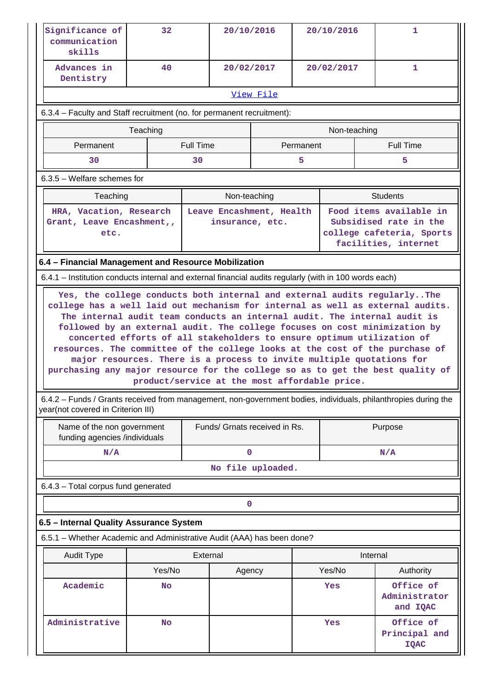| Significance of<br>communication<br>skills                                                                                                                                                                            | 32                                                                                                                                                                                                                                                                                                                                                                                                                                                                                                                                                                                                              |                               | 20/10/2016        | 20/10/2016 |        | 1                                         |  |  |  |  |  |
|-----------------------------------------------------------------------------------------------------------------------------------------------------------------------------------------------------------------------|-----------------------------------------------------------------------------------------------------------------------------------------------------------------------------------------------------------------------------------------------------------------------------------------------------------------------------------------------------------------------------------------------------------------------------------------------------------------------------------------------------------------------------------------------------------------------------------------------------------------|-------------------------------|-------------------|------------|--------|-------------------------------------------|--|--|--|--|--|
| Advances in<br>Dentistry                                                                                                                                                                                              | 40                                                                                                                                                                                                                                                                                                                                                                                                                                                                                                                                                                                                              |                               | 20/02/2017        | 20/02/2017 |        | $\mathbf{1}$                              |  |  |  |  |  |
|                                                                                                                                                                                                                       | View File                                                                                                                                                                                                                                                                                                                                                                                                                                                                                                                                                                                                       |                               |                   |            |        |                                           |  |  |  |  |  |
| 6.3.4 – Faculty and Staff recruitment (no. for permanent recruitment):                                                                                                                                                |                                                                                                                                                                                                                                                                                                                                                                                                                                                                                                                                                                                                                 |                               |                   |            |        |                                           |  |  |  |  |  |
| Teaching<br>Non-teaching                                                                                                                                                                                              |                                                                                                                                                                                                                                                                                                                                                                                                                                                                                                                                                                                                                 |                               |                   |            |        |                                           |  |  |  |  |  |
| Permanent                                                                                                                                                                                                             |                                                                                                                                                                                                                                                                                                                                                                                                                                                                                                                                                                                                                 | <b>Full Time</b>              |                   | Permanent  |        | <b>Full Time</b>                          |  |  |  |  |  |
| 30                                                                                                                                                                                                                    |                                                                                                                                                                                                                                                                                                                                                                                                                                                                                                                                                                                                                 | 30                            |                   | 5.         |        | 5                                         |  |  |  |  |  |
| $6.3.5$ – Welfare schemes for                                                                                                                                                                                         |                                                                                                                                                                                                                                                                                                                                                                                                                                                                                                                                                                                                                 |                               |                   |            |        |                                           |  |  |  |  |  |
| Teaching                                                                                                                                                                                                              |                                                                                                                                                                                                                                                                                                                                                                                                                                                                                                                                                                                                                 |                               | Non-teaching      |            |        | <b>Students</b>                           |  |  |  |  |  |
| HRA, Vacation, Research<br>Leave Encashment, Health<br>Food items available in<br>Subsidised rate in the<br>Grant, Leave Encashment,,<br>insurance, etc.<br>college cafeteria, Sports<br>etc.<br>facilities, internet |                                                                                                                                                                                                                                                                                                                                                                                                                                                                                                                                                                                                                 |                               |                   |            |        |                                           |  |  |  |  |  |
| 6.4 - Financial Management and Resource Mobilization                                                                                                                                                                  |                                                                                                                                                                                                                                                                                                                                                                                                                                                                                                                                                                                                                 |                               |                   |            |        |                                           |  |  |  |  |  |
| 6.4.1 – Institution conducts internal and external financial audits regularly (with in 100 words each)                                                                                                                |                                                                                                                                                                                                                                                                                                                                                                                                                                                                                                                                                                                                                 |                               |                   |            |        |                                           |  |  |  |  |  |
|                                                                                                                                                                                                                       | college has a well laid out mechanism for internal as well as external audits.<br>The internal audit team conducts an internal audit. The internal audit is<br>followed by an external audit. The college focuses on cost minimization by<br>concerted efforts of all stakeholders to ensure optimum utilization of<br>resources. The committee of the college looks at the cost of the purchase of<br>major resources. There is a process to invite multiple quotations for<br>purchasing any major resource for the college so as to get the best quality of<br>product/service at the most affordable price. |                               |                   |            |        |                                           |  |  |  |  |  |
| 6.4.2 - Funds / Grants received from management, non-government bodies, individuals, philanthropies during the<br>year(not covered in Criterion III)                                                                  |                                                                                                                                                                                                                                                                                                                                                                                                                                                                                                                                                                                                                 |                               |                   |            |        |                                           |  |  |  |  |  |
| Name of the non government<br>funding agencies /individuals                                                                                                                                                           |                                                                                                                                                                                                                                                                                                                                                                                                                                                                                                                                                                                                                 | Funds/ Grnats received in Rs. |                   |            |        | Purpose                                   |  |  |  |  |  |
| N/A                                                                                                                                                                                                                   |                                                                                                                                                                                                                                                                                                                                                                                                                                                                                                                                                                                                                 |                               | 0                 |            |        | N/A                                       |  |  |  |  |  |
|                                                                                                                                                                                                                       |                                                                                                                                                                                                                                                                                                                                                                                                                                                                                                                                                                                                                 |                               | No file uploaded. |            |        |                                           |  |  |  |  |  |
| 6.4.3 - Total corpus fund generated                                                                                                                                                                                   |                                                                                                                                                                                                                                                                                                                                                                                                                                                                                                                                                                                                                 |                               |                   |            |        |                                           |  |  |  |  |  |
|                                                                                                                                                                                                                       |                                                                                                                                                                                                                                                                                                                                                                                                                                                                                                                                                                                                                 |                               | 0                 |            |        |                                           |  |  |  |  |  |
| 6.5 - Internal Quality Assurance System                                                                                                                                                                               |                                                                                                                                                                                                                                                                                                                                                                                                                                                                                                                                                                                                                 |                               |                   |            |        |                                           |  |  |  |  |  |
| 6.5.1 - Whether Academic and Administrative Audit (AAA) has been done?                                                                                                                                                |                                                                                                                                                                                                                                                                                                                                                                                                                                                                                                                                                                                                                 |                               |                   |            |        |                                           |  |  |  |  |  |
| <b>Audit Type</b>                                                                                                                                                                                                     |                                                                                                                                                                                                                                                                                                                                                                                                                                                                                                                                                                                                                 | External                      |                   |            |        | Internal                                  |  |  |  |  |  |
|                                                                                                                                                                                                                       | Yes/No                                                                                                                                                                                                                                                                                                                                                                                                                                                                                                                                                                                                          |                               | Agency            |            | Yes/No | Authority                                 |  |  |  |  |  |
| Academic                                                                                                                                                                                                              | <b>No</b>                                                                                                                                                                                                                                                                                                                                                                                                                                                                                                                                                                                                       |                               |                   |            | Yes    | Office of<br>Administrator<br>and IQAC    |  |  |  |  |  |
| Administrative                                                                                                                                                                                                        | <b>No</b>                                                                                                                                                                                                                                                                                                                                                                                                                                                                                                                                                                                                       |                               |                   |            | Yes    | Office of<br>Principal and<br><b>IQAC</b> |  |  |  |  |  |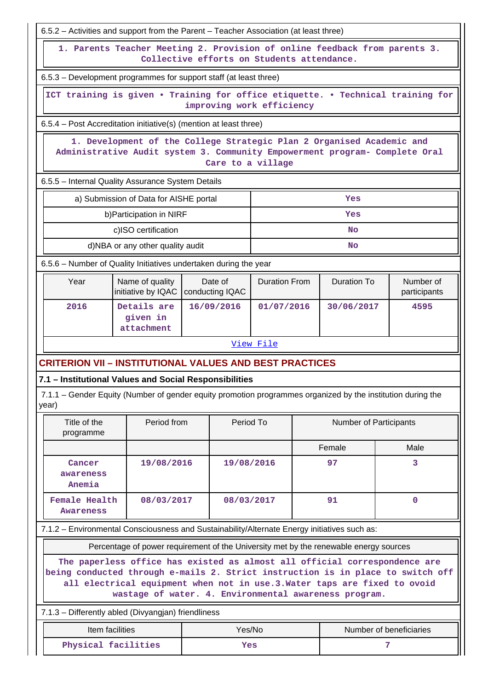| 6.5.2 – Activities and support from the Parent – Teacher Association (at least three)                                                                                                                                                                                                                                                                                                        |                                                                   |  |                            |                      |    |                        |   |                           |  |  |  |  |
|----------------------------------------------------------------------------------------------------------------------------------------------------------------------------------------------------------------------------------------------------------------------------------------------------------------------------------------------------------------------------------------------|-------------------------------------------------------------------|--|----------------------------|----------------------|----|------------------------|---|---------------------------|--|--|--|--|
| 1. Parents Teacher Meeting 2. Provision of online feedback from parents 3.<br>Collective efforts on Students attendance.                                                                                                                                                                                                                                                                     |                                                                   |  |                            |                      |    |                        |   |                           |  |  |  |  |
| 6.5.3 – Development programmes for support staff (at least three)                                                                                                                                                                                                                                                                                                                            |                                                                   |  |                            |                      |    |                        |   |                           |  |  |  |  |
| ICT training is given . Training for office etiquette. . Technical training for<br>improving work efficiency                                                                                                                                                                                                                                                                                 |                                                                   |  |                            |                      |    |                        |   |                           |  |  |  |  |
|                                                                                                                                                                                                                                                                                                                                                                                              | 6.5.4 – Post Accreditation initiative(s) (mention at least three) |  |                            |                      |    |                        |   |                           |  |  |  |  |
| 1. Development of the College Strategic Plan 2 Organised Academic and<br>Administrative Audit system 3. Community Empowerment program- Complete Oral<br>Care to a village                                                                                                                                                                                                                    |                                                                   |  |                            |                      |    |                        |   |                           |  |  |  |  |
| 6.5.5 - Internal Quality Assurance System Details                                                                                                                                                                                                                                                                                                                                            |                                                                   |  |                            |                      |    |                        |   |                           |  |  |  |  |
| a) Submission of Data for AISHE portal                                                                                                                                                                                                                                                                                                                                                       |                                                                   |  |                            |                      |    | Yes                    |   |                           |  |  |  |  |
| b) Participation in NIRF                                                                                                                                                                                                                                                                                                                                                                     |                                                                   |  |                            |                      |    | Yes                    |   |                           |  |  |  |  |
| c)ISO certification                                                                                                                                                                                                                                                                                                                                                                          |                                                                   |  |                            |                      |    | <b>No</b>              |   |                           |  |  |  |  |
|                                                                                                                                                                                                                                                                                                                                                                                              | d)NBA or any other quality audit<br>No                            |  |                            |                      |    |                        |   |                           |  |  |  |  |
| 6.5.6 - Number of Quality Initiatives undertaken during the year                                                                                                                                                                                                                                                                                                                             |                                                                   |  |                            |                      |    |                        |   |                           |  |  |  |  |
| Name of quality<br>Year<br>initiative by IQAC                                                                                                                                                                                                                                                                                                                                                |                                                                   |  | Date of<br>conducting IQAC | <b>Duration From</b> |    | <b>Duration To</b>     |   | Number of<br>participants |  |  |  |  |
| 2016<br>Details are<br>given in<br>attachment                                                                                                                                                                                                                                                                                                                                                |                                                                   |  | 16/09/2016<br>01/07/2016   |                      |    | 30/06/2017             |   | 4595                      |  |  |  |  |
|                                                                                                                                                                                                                                                                                                                                                                                              |                                                                   |  |                            | View File            |    |                        |   |                           |  |  |  |  |
| <b>CRITERION VII – INSTITUTIONAL VALUES AND BEST PRACTICES</b>                                                                                                                                                                                                                                                                                                                               |                                                                   |  |                            |                      |    |                        |   |                           |  |  |  |  |
| 7.1 - Institutional Values and Social Responsibilities                                                                                                                                                                                                                                                                                                                                       |                                                                   |  |                            |                      |    |                        |   |                           |  |  |  |  |
| 7.1.1 - Gender Equity (Number of gender equity promotion programmes organized by the institution during the<br>year)                                                                                                                                                                                                                                                                         |                                                                   |  |                            |                      |    |                        |   |                           |  |  |  |  |
| Period from<br>Title of the<br>programme                                                                                                                                                                                                                                                                                                                                                     |                                                                   |  | Period To                  |                      |    | Number of Participants |   |                           |  |  |  |  |
|                                                                                                                                                                                                                                                                                                                                                                                              |                                                                   |  |                            |                      |    | Female                 |   | Male                      |  |  |  |  |
| 19/08/2016<br>Cancer<br>awareness<br>Anemia                                                                                                                                                                                                                                                                                                                                                  |                                                                   |  | 19/08/2016                 |                      | 97 |                        | 3 |                           |  |  |  |  |
| <b>Female Health</b><br>08/03/2017<br><b>Awareness</b>                                                                                                                                                                                                                                                                                                                                       |                                                                   |  | 08/03/2017                 |                      |    | 91                     |   | $\mathbf 0$               |  |  |  |  |
| 7.1.2 - Environmental Consciousness and Sustainability/Alternate Energy initiatives such as:                                                                                                                                                                                                                                                                                                 |                                                                   |  |                            |                      |    |                        |   |                           |  |  |  |  |
|                                                                                                                                                                                                                                                                                                                                                                                              |                                                                   |  |                            |                      |    |                        |   |                           |  |  |  |  |
| Percentage of power requirement of the University met by the renewable energy sources<br>The paperless office has existed as almost all official correspondence are<br>being conducted through e-mails 2. Strict instruction is in place to switch off<br>all electrical equipment when not in use.3. Water taps are fixed to ovoid<br>wastage of water. 4. Environmental awareness program. |                                                                   |  |                            |                      |    |                        |   |                           |  |  |  |  |
| 7.1.3 - Differently abled (Divyangjan) friendliness                                                                                                                                                                                                                                                                                                                                          |                                                                   |  |                            |                      |    |                        |   |                           |  |  |  |  |
| Item facilities                                                                                                                                                                                                                                                                                                                                                                              |                                                                   |  | Yes/No                     |                      |    |                        |   | Number of beneficiaries   |  |  |  |  |
| Physical facilities                                                                                                                                                                                                                                                                                                                                                                          |                                                                   |  | Yes                        |                      |    |                        | 7 |                           |  |  |  |  |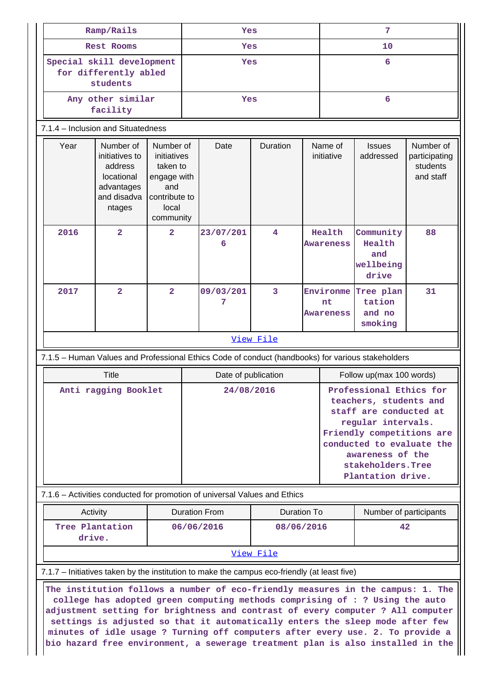| Ramp/Rails                         |                                                                                                                                                                                                                                                                                                                                                                                                                                                                                                                                                                                                          |                                                                                                   |     | Yes                  |                         |  |                              | 7                                                                                                                                                                                                                          |                                                     |  |  |
|------------------------------------|----------------------------------------------------------------------------------------------------------------------------------------------------------------------------------------------------------------------------------------------------------------------------------------------------------------------------------------------------------------------------------------------------------------------------------------------------------------------------------------------------------------------------------------------------------------------------------------------------------|---------------------------------------------------------------------------------------------------|-----|----------------------|-------------------------|--|------------------------------|----------------------------------------------------------------------------------------------------------------------------------------------------------------------------------------------------------------------------|-----------------------------------------------------|--|--|
| <b>Rest Rooms</b>                  |                                                                                                                                                                                                                                                                                                                                                                                                                                                                                                                                                                                                          |                                                                                                   | Yes |                      |                         |  | 10                           |                                                                                                                                                                                                                            |                                                     |  |  |
|                                    | Special skill development<br>for differently abled<br>students                                                                                                                                                                                                                                                                                                                                                                                                                                                                                                                                           |                                                                                                   |     |                      | Yes                     |  | 6                            |                                                                                                                                                                                                                            |                                                     |  |  |
|                                    | Any other similar<br>facility                                                                                                                                                                                                                                                                                                                                                                                                                                                                                                                                                                            |                                                                                                   |     | Yes                  |                         |  |                              | 6                                                                                                                                                                                                                          |                                                     |  |  |
| 7.1.4 - Inclusion and Situatedness |                                                                                                                                                                                                                                                                                                                                                                                                                                                                                                                                                                                                          |                                                                                                   |     |                      |                         |  |                              |                                                                                                                                                                                                                            |                                                     |  |  |
| Year                               | Number of<br>initiatives to<br>address<br>locational<br>advantages<br>and disadva<br>ntages                                                                                                                                                                                                                                                                                                                                                                                                                                                                                                              | Number of<br>initiatives<br>taken to<br>engage with<br>and<br>contribute to<br>local<br>community |     | Date                 | Duration                |  | Name of<br>initiative        | <b>Issues</b><br>addressed                                                                                                                                                                                                 | Number of<br>participating<br>students<br>and staff |  |  |
| 2016                               | $\overline{a}$                                                                                                                                                                                                                                                                                                                                                                                                                                                                                                                                                                                           | $\overline{2}$                                                                                    |     | 23/07/201<br>6       | $\overline{\mathbf{4}}$ |  | Health<br>Awareness          | Community<br>Health<br>and<br>wellbeing<br>drive                                                                                                                                                                           | 88                                                  |  |  |
| 2017                               | $\overline{a}$                                                                                                                                                                                                                                                                                                                                                                                                                                                                                                                                                                                           | $\overline{2}$                                                                                    |     | 09/03/201<br>7       | 3                       |  | Environme<br>nt<br>Awareness | Tree plan<br>tation<br>and no<br>smoking                                                                                                                                                                                   | 31                                                  |  |  |
|                                    |                                                                                                                                                                                                                                                                                                                                                                                                                                                                                                                                                                                                          |                                                                                                   |     |                      | View File               |  |                              |                                                                                                                                                                                                                            |                                                     |  |  |
|                                    | 7.1.5 - Human Values and Professional Ethics Code of conduct (handbooks) for various stakeholders                                                                                                                                                                                                                                                                                                                                                                                                                                                                                                        |                                                                                                   |     |                      |                         |  |                              |                                                                                                                                                                                                                            |                                                     |  |  |
|                                    | <b>Title</b>                                                                                                                                                                                                                                                                                                                                                                                                                                                                                                                                                                                             |                                                                                                   |     | Date of publication  |                         |  |                              | Follow up(max 100 words)                                                                                                                                                                                                   |                                                     |  |  |
|                                    | Anti ragging Booklet                                                                                                                                                                                                                                                                                                                                                                                                                                                                                                                                                                                     |                                                                                                   |     |                      | 24/08/2016              |  |                              | Professional Ethics for<br>teachers, students and<br>staff are conducted at<br>regular intervals.<br>Friendly competitions are<br>conducted to evaluate the<br>awareness of the<br>stakeholders. Tree<br>Plantation drive. |                                                     |  |  |
|                                    | 7.1.6 – Activities conducted for promotion of universal Values and Ethics                                                                                                                                                                                                                                                                                                                                                                                                                                                                                                                                |                                                                                                   |     |                      |                         |  |                              |                                                                                                                                                                                                                            |                                                     |  |  |
|                                    | Activity                                                                                                                                                                                                                                                                                                                                                                                                                                                                                                                                                                                                 |                                                                                                   |     | <b>Duration From</b> | <b>Duration To</b>      |  |                              | Number of participants                                                                                                                                                                                                     |                                                     |  |  |
|                                    | Tree Plantation<br>drive.                                                                                                                                                                                                                                                                                                                                                                                                                                                                                                                                                                                |                                                                                                   |     | 06/06/2016           | 08/06/2016              |  |                              | 42                                                                                                                                                                                                                         |                                                     |  |  |
|                                    |                                                                                                                                                                                                                                                                                                                                                                                                                                                                                                                                                                                                          |                                                                                                   |     |                      | View File               |  |                              |                                                                                                                                                                                                                            |                                                     |  |  |
|                                    | 7.1.7 – Initiatives taken by the institution to make the campus eco-friendly (at least five)<br>The institution follows a number of eco-friendly measures in the campus: 1. The<br>college has adopted green computing methods comprising of : ? Using the auto<br>adjustment setting for brightness and contrast of every computer ? All computer<br>settings is adjusted so that it automatically enters the sleep mode after few<br>minutes of idle usage ? Turning off computers after every use. 2. To provide a<br>bio hazard free environment, a sewerage treatment plan is also installed in the |                                                                                                   |     |                      |                         |  |                              |                                                                                                                                                                                                                            |                                                     |  |  |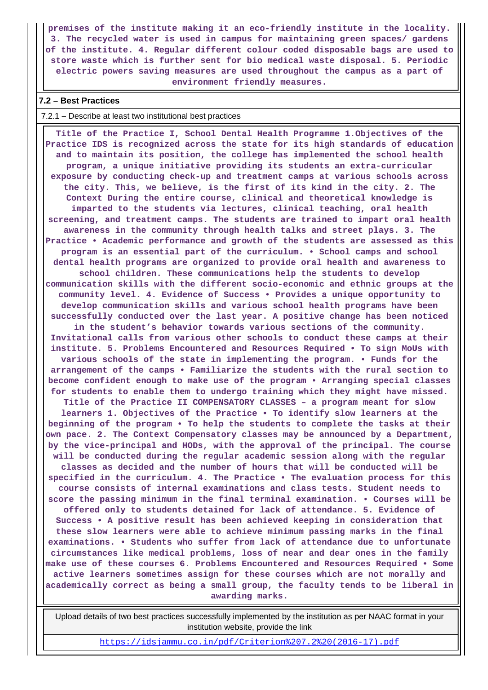**premises of the institute making it an eco-friendly institute in the locality. 3. The recycled water is used in campus for maintaining green spaces/ gardens of the institute. 4. Regular different colour coded disposable bags are used to store waste which is further sent for bio medical waste disposal. 5. Periodic electric powers saving measures are used throughout the campus as a part of environment friendly measures.**

#### **7.2 – Best Practices**

7.2.1 – Describe at least two institutional best practices

 **Title of the Practice I, School Dental Health Programme 1.Objectives of the Practice IDS is recognized across the state for its high standards of education and to maintain its position, the college has implemented the school health program, a unique initiative providing its students an extra-curricular exposure by conducting check-up and treatment camps at various schools across the city. This, we believe, is the first of its kind in the city. 2. The Context During the entire course, clinical and theoretical knowledge is imparted to the students via lectures, clinical teaching, oral health screening, and treatment camps. The students are trained to impart oral health awareness in the community through health talks and street plays. 3. The Practice • Academic performance and growth of the students are assessed as this program is an essential part of the curriculum. • School camps and school dental health programs are organized to provide oral health and awareness to school children. These communications help the students to develop communication skills with the different socio-economic and ethnic groups at the community level. 4. Evidence of Success • Provides a unique opportunity to develop communication skills and various school health programs have been successfully conducted over the last year. A positive change has been noticed in the student's behavior towards various sections of the community. Invitational calls from various other schools to conduct these camps at their institute. 5. Problems Encountered and Resources Required • To sign MoUs with various schools of the state in implementing the program. • Funds for the arrangement of the camps • Familiarize the students with the rural section to become confident enough to make use of the program • Arranging special classes for students to enable them to undergo training which they might have missed. Title of the Practice II COMPENSATORY CLASSES – a program meant for slow learners 1. Objectives of the Practice • To identify slow learners at the beginning of the program • To help the students to complete the tasks at their own pace. 2. The Context Compensatory classes may be announced by a Department, by the vice-principal and HODs, with the approval of the principal. The course will be conducted during the regular academic session along with the regular classes as decided and the number of hours that will be conducted will be specified in the curriculum. 4. The Practice • The evaluation process for this course consists of internal examinations and class tests. Student needs to score the passing minimum in the final terminal examination. • Courses will be offered only to students detained for lack of attendance. 5. Evidence of Success • A positive result has been achieved keeping in consideration that these slow learners were able to achieve minimum passing marks in the final examinations. • Students who suffer from lack of attendance due to unfortunate circumstances like medical problems, loss of near and dear ones in the family make use of these courses 6. Problems Encountered and Resources Required • Some active learners sometimes assign for these courses which are not morally and academically correct as being a small group, the faculty tends to be liberal in awarding marks.**

 Upload details of two best practices successfully implemented by the institution as per NAAC format in your institution website, provide the link

[https://idsjammu.co.in/pdf/Criterion%207.2%20\(2016-17\).pdf](https://idsjammu.co.in/pdf/Criterion%207.2%20(2016-17).pdf)